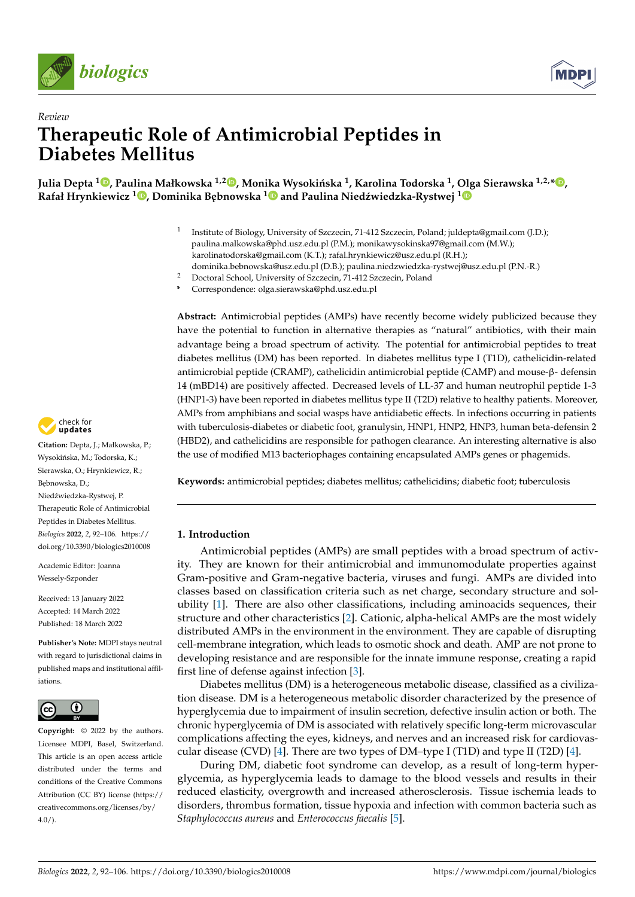



# *Review* **Therapeutic Role of Antimicrobial Peptides in Diabetes Mellitus**

 $\bm{I}$ Julia Depta  $^{\bf 10}$ [,](https://orcid.org/0000-0003-3567-7786) Paulina Małkowska  $^{1,2}$   $\bm{\mathbb{D}}$ , Monika Wysokińska  $^{\bf 1}$ , Karolina Todorska  $^{\bf 1}$ , Olga Sierawska  $^{1,2,*}$   $\bm{\mathbb{D}}$ , **Rafał Hrynkiewicz <sup>1</sup> [,](https://orcid.org/0000-0002-0688-6928) Dominika B ˛ebnowska [1](https://orcid.org/0000-0003-3689-2381) and Paulina Nied ´zwiedzka-Rystwej [1](https://orcid.org/0000-0003-4065-3842)**

- 1 Institute of Biology, University of Szczecin, 71-412 Szczecin, Poland; juldepta@gmail.com (J.D.); paulina.malkowska@phd.usz.edu.pl (P.M.); monikawysokinska97@gmail.com (M.W.); karolinatodorska@gmail.com (K.T.); rafal.hrynkiewicz@usz.edu.pl (R.H.); dominika.bebnowska@usz.edu.pl (D.B.); paulina.niedzwiedzka-rystwej@usz.edu.pl (P.N.-R.)
- <sup>2</sup> Doctoral School, University of Szczecin, 71-412 Szczecin, Poland
- **\*** Correspondence: olga.sierawska@phd.usz.edu.pl

**Abstract:** Antimicrobial peptides (AMPs) have recently become widely publicized because they have the potential to function in alternative therapies as "natural" antibiotics, with their main advantage being a broad spectrum of activity. The potential for antimicrobial peptides to treat diabetes mellitus (DM) has been reported. In diabetes mellitus type I (T1D), cathelicidin-related antimicrobial peptide (CRAMP), cathelicidin antimicrobial peptide (CAMP) and mouse-β- defensin 14 (mBD14) are positively affected. Decreased levels of LL-37 and human neutrophil peptide 1-3 (HNP1-3) have been reported in diabetes mellitus type II (T2D) relative to healthy patients. Moreover, AMPs from amphibians and social wasps have antidiabetic effects. In infections occurring in patients with tuberculosis-diabetes or diabetic foot, granulysin, HNP1, HNP2, HNP3, human beta-defensin 2 (HBD2), and cathelicidins are responsible for pathogen clearance. An interesting alternative is also the use of modified M13 bacteriophages containing encapsulated AMPs genes or phagemids.

**Keywords:** antimicrobial peptides; diabetes mellitus; cathelicidins; diabetic foot; tuberculosis

# **1. Introduction**

Antimicrobial peptides (AMPs) are small peptides with a broad spectrum of activity. They are known for their antimicrobial and immunomodulate properties against Gram-positive and Gram-negative bacteria, viruses and fungi. AMPs are divided into classes based on classification criteria such as net charge, secondary structure and solubility [\[1\]](#page-10-0). There are also other classifications, including aminoacids sequences, their structure and other characteristics [\[2\]](#page-10-1). Cationic, alpha-helical AMPs are the most widely distributed AMPs in the environment in the environment. They are capable of disrupting cell-membrane integration, which leads to osmotic shock and death. AMP are not prone to developing resistance and are responsible for the innate immune response, creating a rapid first line of defense against infection [\[3\]](#page-10-2).

Diabetes mellitus (DM) is a heterogeneous metabolic disease, classified as a civilization disease. DM is a heterogeneous metabolic disorder characterized by the presence of hyperglycemia due to impairment of insulin secretion, defective insulin action or both. The chronic hyperglycemia of DM is associated with relatively specific long-term microvascular complications affecting the eyes, kidneys, and nerves and an increased risk for cardiovas-cular disease (CVD) [\[4\]](#page-10-3). There are two types of  $DM$ –type I (T1D) and type II (T2D) [4].

During DM, diabetic foot syndrome can develop, as a result of long-term hyperglycemia, as hyperglycemia leads to damage to the blood vessels and results in their reduced elasticity, overgrowth and increased atherosclerosis. Tissue ischemia leads to disorders, thrombus formation, tissue hypoxia and infection with common bacteria such as *Staphylococcus aureus* and *Enterococcus faecalis* [\[5\]](#page-10-4).



**Citation:** Depta, J.; Małkowska, P.; Wysokińska, M.; Todorska, K.; Sierawska, O.; Hrynkiewicz, R.; Bebnowska, D.; Niedźwiedzka-Rystwej, P. Therapeutic Role of Antimicrobial Peptides in Diabetes Mellitus. *Biologics* **2022**, *2*, 92–106. [https://](https://doi.org/10.3390/biologics2010008) [doi.org/10.3390/biologics2010008](https://doi.org/10.3390/biologics2010008)

Academic Editor: Joanna Wessely-Szponder

Received: 13 January 2022 Accepted: 14 March 2022 Published: 18 March 2022

**Publisher's Note:** MDPI stays neutral with regard to jurisdictional claims in published maps and institutional affiliations.



**Copyright:** © 2022 by the authors. Licensee MDPI, Basel, Switzerland. This article is an open access article distributed under the terms and conditions of the Creative Commons Attribution (CC BY) license [\(https://](https://creativecommons.org/licenses/by/4.0/) [creativecommons.org/licenses/by/](https://creativecommons.org/licenses/by/4.0/)  $4.0/$ ).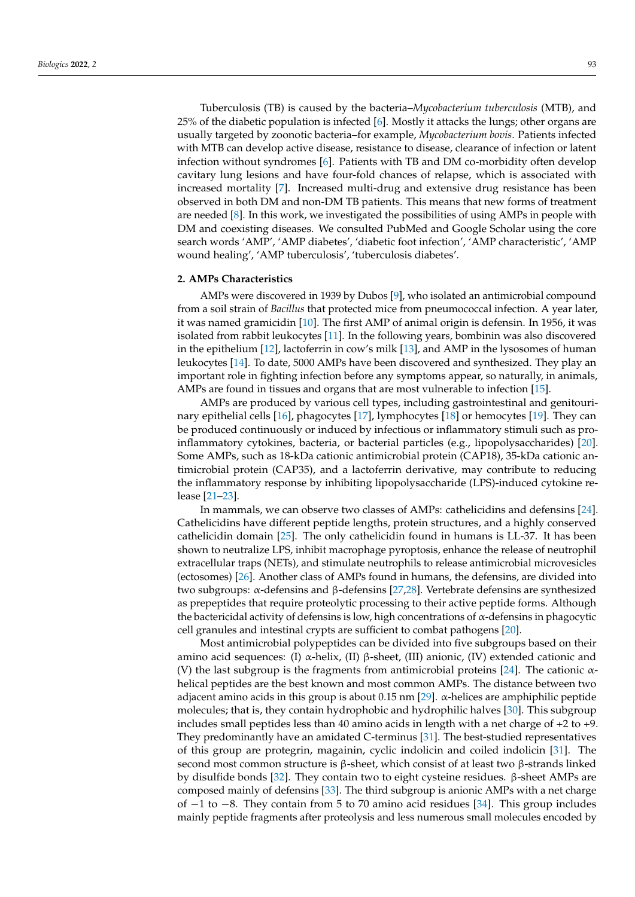Tuberculosis (TB) is caused by the bacteria–*Mycobacterium tuberculosis* (MTB), and 25% of the diabetic population is infected [\[6\]](#page-10-5). Mostly it attacks the lungs; other organs are usually targeted by zoonotic bacteria–for example, *Mycobacterium bovis*. Patients infected with MTB can develop active disease, resistance to disease, clearance of infection or latent infection without syndromes [\[6\]](#page-10-5). Patients with TB and DM co-morbidity often develop cavitary lung lesions and have four-fold chances of relapse, which is associated with increased mortality [\[7\]](#page-10-6). Increased multi-drug and extensive drug resistance has been observed in both DM and non-DM TB patients. This means that new forms of treatment are needed [\[8\]](#page-11-0). In this work, we investigated the possibilities of using AMPs in people with DM and coexisting diseases. We consulted PubMed and Google Scholar using the core search words 'AMP', 'AMP diabetes', 'diabetic foot infection', 'AMP characteristic', 'AMP wound healing', 'AMP tuberculosis', 'tuberculosis diabetes'.

#### **2. AMPs Characteristics**

AMPs were discovered in 1939 by Dubos [\[9\]](#page-11-1), who isolated an antimicrobial compound from a soil strain of *Bacillus* that protected mice from pneumococcal infection. A year later, it was named gramicidin [\[10\]](#page-11-2). The first AMP of animal origin is defensin. In 1956, it was isolated from rabbit leukocytes [\[11\]](#page-11-3). In the following years, bombinin was also discovered in the epithelium [\[12\]](#page-11-4), lactoferrin in cow's milk [\[13\]](#page-11-5), and AMP in the lysosomes of human leukocytes [\[14\]](#page-11-6). To date, 5000 AMPs have been discovered and synthesized. They play an important role in fighting infection before any symptoms appear, so naturally, in animals, AMPs are found in tissues and organs that are most vulnerable to infection [\[15\]](#page-11-7).

AMPs are produced by various cell types, including gastrointestinal and genitourinary epithelial cells [\[16\]](#page-11-8), phagocytes [\[17\]](#page-11-9), lymphocytes [\[18\]](#page-11-10) or hemocytes [\[19\]](#page-11-11). They can be produced continuously or induced by infectious or inflammatory stimuli such as proinflammatory cytokines, bacteria, or bacterial particles (e.g., lipopolysaccharides) [\[20\]](#page-11-12). Some AMPs, such as 18-kDa cationic antimicrobial protein (CAP18), 35-kDa cationic antimicrobial protein (CAP35), and a lactoferrin derivative, may contribute to reducing the inflammatory response by inhibiting lipopolysaccharide (LPS)-induced cytokine release [\[21–](#page-11-13)[23\]](#page-11-14).

In mammals, we can observe two classes of AMPs: cathelicidins and defensins [\[24\]](#page-11-15). Cathelicidins have different peptide lengths, protein structures, and a highly conserved cathelicidin domain [\[25\]](#page-11-16). The only cathelicidin found in humans is LL-37. It has been shown to neutralize LPS, inhibit macrophage pyroptosis, enhance the release of neutrophil extracellular traps (NETs), and stimulate neutrophils to release antimicrobial microvesicles (ectosomes) [\[26\]](#page-11-17). Another class of AMPs found in humans, the defensins, are divided into two subgroups: α-defensins and β-defensins [\[27](#page-11-18)[,28\]](#page-11-19). Vertebrate defensins are synthesized as prepeptides that require proteolytic processing to their active peptide forms. Although the bactericidal activity of defensins is low, high concentrations of  $\alpha$ -defensins in phagocytic cell granules and intestinal crypts are sufficient to combat pathogens [\[20\]](#page-11-12).

Most antimicrobial polypeptides can be divided into five subgroups based on their amino acid sequences: (I)  $\alpha$ -helix, (II)  $\beta$ -sheet, (III) anionic, (IV) extended cationic and (V) the last subgroup is the fragments from antimicrobial proteins [\[24\]](#page-11-15). The cationic  $\alpha$ helical peptides are the best known and most common AMPs. The distance between two adjacent amino acids in this group is about 0.15 nm [\[29\]](#page-11-20). α-helices are amphiphilic peptide molecules; that is, they contain hydrophobic and hydrophilic halves [\[30\]](#page-11-21). This subgroup includes small peptides less than 40 amino acids in length with a net charge of +2 to +9. They predominantly have an amidated C-terminus [\[31\]](#page-11-22). The best-studied representatives of this group are protegrin, magainin, cyclic indolicin and coiled indolicin [\[31\]](#page-11-22). The second most common structure is β-sheet, which consist of at least two β-strands linked by disulfide bonds [\[32\]](#page-11-23). They contain two to eight cysteine residues. β-sheet AMPs are composed mainly of defensins [\[33\]](#page-11-24). The third subgroup is anionic AMPs with a net charge of −1 to −8. They contain from 5 to 70 amino acid residues [\[34\]](#page-11-25). This group includes mainly peptide fragments after proteolysis and less numerous small molecules encoded by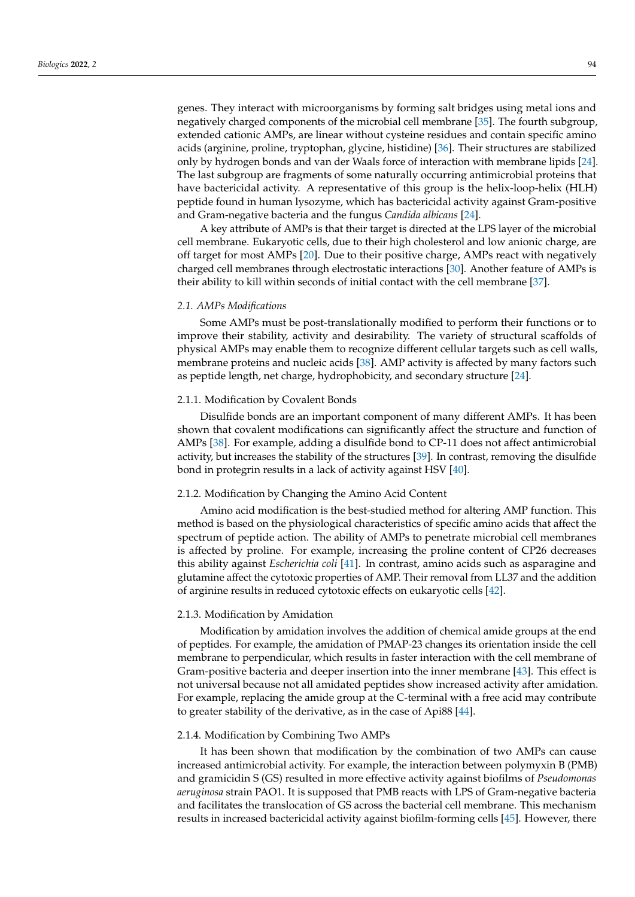genes. They interact with microorganisms by forming salt bridges using metal ions and negatively charged components of the microbial cell membrane [\[35\]](#page-11-26). The fourth subgroup, extended cationic AMPs, are linear without cysteine residues and contain specific amino acids (arginine, proline, tryptophan, glycine, histidine) [\[36\]](#page-11-27). Their structures are stabilized only by hydrogen bonds and van der Waals force of interaction with membrane lipids [\[24\]](#page-11-15). The last subgroup are fragments of some naturally occurring antimicrobial proteins that have bactericidal activity. A representative of this group is the helix-loop-helix (HLH) peptide found in human lysozyme, which has bactericidal activity against Gram-positive and Gram-negative bacteria and the fungus *Candida albicans* [\[24\]](#page-11-15).

A key attribute of AMPs is that their target is directed at the LPS layer of the microbial cell membrane. Eukaryotic cells, due to their high cholesterol and low anionic charge, are off target for most AMPs [\[20\]](#page-11-12). Due to their positive charge, AMPs react with negatively charged cell membranes through electrostatic interactions [\[30\]](#page-11-21). Another feature of AMPs is their ability to kill within seconds of initial contact with the cell membrane [\[37\]](#page-12-0).

## *2.1. AMPs Modifications*

Some AMPs must be post-translationally modified to perform their functions or to improve their stability, activity and desirability. The variety of structural scaffolds of physical AMPs may enable them to recognize different cellular targets such as cell walls, membrane proteins and nucleic acids [\[38\]](#page-12-1). AMP activity is affected by many factors such as peptide length, net charge, hydrophobicity, and secondary structure [\[24\]](#page-11-15).

# 2.1.1. Modification by Covalent Bonds

Disulfide bonds are an important component of many different AMPs. It has been shown that covalent modifications can significantly affect the structure and function of AMPs [\[38\]](#page-12-1). For example, adding a disulfide bond to CP-11 does not affect antimicrobial activity, but increases the stability of the structures [\[39\]](#page-12-2). In contrast, removing the disulfide bond in protegrin results in a lack of activity against HSV [\[40\]](#page-12-3).

# 2.1.2. Modification by Changing the Amino Acid Content

Amino acid modification is the best-studied method for altering AMP function. This method is based on the physiological characteristics of specific amino acids that affect the spectrum of peptide action. The ability of AMPs to penetrate microbial cell membranes is affected by proline. For example, increasing the proline content of CP26 decreases this ability against *Escherichia coli* [\[41\]](#page-12-4). In contrast, amino acids such as asparagine and glutamine affect the cytotoxic properties of AMP. Their removal from LL37 and the addition of arginine results in reduced cytotoxic effects on eukaryotic cells [\[42\]](#page-12-5).

## 2.1.3. Modification by Amidation

Modification by amidation involves the addition of chemical amide groups at the end of peptides. For example, the amidation of PMAP-23 changes its orientation inside the cell membrane to perpendicular, which results in faster interaction with the cell membrane of Gram-positive bacteria and deeper insertion into the inner membrane [\[43\]](#page-12-6). This effect is not universal because not all amidated peptides show increased activity after amidation. For example, replacing the amide group at the C-terminal with a free acid may contribute to greater stability of the derivative, as in the case of Api88 [\[44\]](#page-12-7).

# 2.1.4. Modification by Combining Two AMPs

It has been shown that modification by the combination of two AMPs can cause increased antimicrobial activity. For example, the interaction between polymyxin B (PMB) and gramicidin S (GS) resulted in more effective activity against biofilms of *Pseudomonas aeruginosa* strain PAO1. It is supposed that PMB reacts with LPS of Gram-negative bacteria and facilitates the translocation of GS across the bacterial cell membrane. This mechanism results in increased bactericidal activity against biofilm-forming cells [\[45\]](#page-12-8). However, there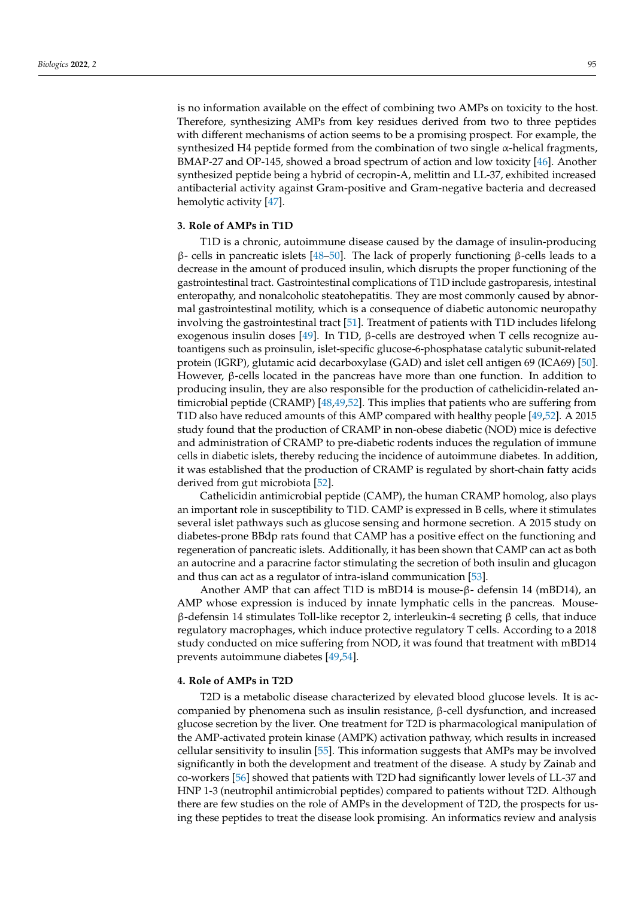is no information available on the effect of combining two AMPs on toxicity to the host. Therefore, synthesizing AMPs from key residues derived from two to three peptides with different mechanisms of action seems to be a promising prospect. For example, the synthesized H4 peptide formed from the combination of two single  $\alpha$ -helical fragments, BMAP-27 and OP-145, showed a broad spectrum of action and low toxicity [\[46\]](#page-12-9). Another synthesized peptide being a hybrid of cecropin-A, melittin and LL-37, exhibited increased antibacterial activity against Gram-positive and Gram-negative bacteria and decreased hemolytic activity [\[47\]](#page-12-10).

# **3. Role of AMPs in T1D**

T1D is a chronic, autoimmune disease caused by the damage of insulin-producing β- cells in pancreatic islets [\[48–](#page-12-11)[50\]](#page-12-12). The lack of properly functioning β-cells leads to a decrease in the amount of produced insulin, which disrupts the proper functioning of the gastrointestinal tract. Gastrointestinal complications of T1D include gastroparesis, intestinal enteropathy, and nonalcoholic steatohepatitis. They are most commonly caused by abnormal gastrointestinal motility, which is a consequence of diabetic autonomic neuropathy involving the gastrointestinal tract [\[51\]](#page-12-13). Treatment of patients with T1D includes lifelong exogenous insulin doses [\[49\]](#page-12-14). In T1D, β-cells are destroyed when T cells recognize autoantigens such as proinsulin, islet-specific glucose-6-phosphatase catalytic subunit-related protein (IGRP), glutamic acid decarboxylase (GAD) and islet cell antigen 69 (ICA69) [\[50\]](#page-12-12). However, β-cells located in the pancreas have more than one function. In addition to producing insulin, they are also responsible for the production of cathelicidin-related antimicrobial peptide (CRAMP) [\[48](#page-12-11)[,49](#page-12-14)[,52\]](#page-12-15). This implies that patients who are suffering from T1D also have reduced amounts of this AMP compared with healthy people [\[49,](#page-12-14)[52\]](#page-12-15). A 2015 study found that the production of CRAMP in non-obese diabetic (NOD) mice is defective and administration of CRAMP to pre-diabetic rodents induces the regulation of immune cells in diabetic islets, thereby reducing the incidence of autoimmune diabetes. In addition, it was established that the production of CRAMP is regulated by short-chain fatty acids derived from gut microbiota [\[52\]](#page-12-15).

Cathelicidin antimicrobial peptide (CAMP), the human CRAMP homolog, also plays an important role in susceptibility to T1D. CAMP is expressed in B cells, where it stimulates several islet pathways such as glucose sensing and hormone secretion. A 2015 study on diabetes-prone BBdp rats found that CAMP has a positive effect on the functioning and regeneration of pancreatic islets. Additionally, it has been shown that CAMP can act as both an autocrine and a paracrine factor stimulating the secretion of both insulin and glucagon and thus can act as a regulator of intra-island communication [\[53\]](#page-12-16).

Another AMP that can affect T1D is mBD14 is mouse-β- defensin 14 (mBD14), an AMP whose expression is induced by innate lymphatic cells in the pancreas. Mouseβ-defensin 14 stimulates Toll-like receptor 2, interleukin-4 secreting β cells, that induce regulatory macrophages, which induce protective regulatory T cells. According to a 2018 study conducted on mice suffering from NOD, it was found that treatment with mBD14 prevents autoimmune diabetes [\[49](#page-12-14)[,54\]](#page-12-17).

# **4. Role of AMPs in T2D**

T2D is a metabolic disease characterized by elevated blood glucose levels. It is accompanied by phenomena such as insulin resistance, β-cell dysfunction, and increased glucose secretion by the liver. One treatment for T2D is pharmacological manipulation of the AMP-activated protein kinase (AMPK) activation pathway, which results in increased cellular sensitivity to insulin [\[55\]](#page-12-18). This information suggests that AMPs may be involved significantly in both the development and treatment of the disease. A study by Zainab and co-workers [\[56\]](#page-12-19) showed that patients with T2D had significantly lower levels of LL-37 and HNP 1-3 (neutrophil antimicrobial peptides) compared to patients without T2D. Although there are few studies on the role of AMPs in the development of T2D, the prospects for using these peptides to treat the disease look promising. An informatics review and analysis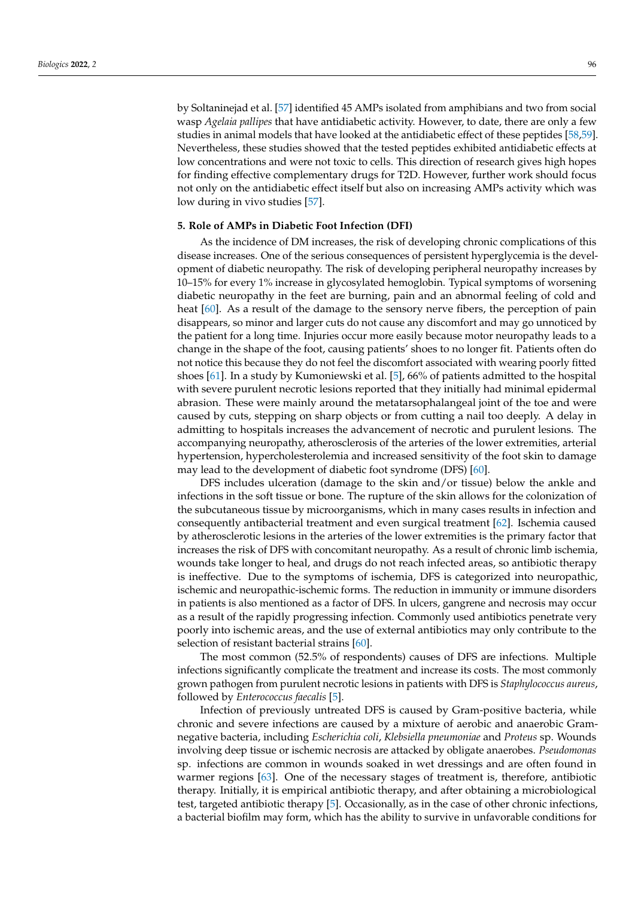by Soltaninejad et al. [\[57\]](#page-12-20) identified 45 AMPs isolated from amphibians and two from social wasp *Agelaia pallipes* that have antidiabetic activity. However, to date, there are only a few studies in animal models that have looked at the antidiabetic effect of these peptides [\[58](#page-12-21)[,59\]](#page-12-22). Nevertheless, these studies showed that the tested peptides exhibited antidiabetic effects at low concentrations and were not toxic to cells. This direction of research gives high hopes for finding effective complementary drugs for T2D. However, further work should focus not only on the antidiabetic effect itself but also on increasing AMPs activity which was low during in vivo studies [\[57\]](#page-12-20).

# **5. Role of AMPs in Diabetic Foot Infection (DFI)**

As the incidence of DM increases, the risk of developing chronic complications of this disease increases. One of the serious consequences of persistent hyperglycemia is the development of diabetic neuropathy. The risk of developing peripheral neuropathy increases by 10–15% for every 1% increase in glycosylated hemoglobin. Typical symptoms of worsening diabetic neuropathy in the feet are burning, pain and an abnormal feeling of cold and heat [\[60\]](#page-12-23). As a result of the damage to the sensory nerve fibers, the perception of pain disappears, so minor and larger cuts do not cause any discomfort and may go unnoticed by the patient for a long time. Injuries occur more easily because motor neuropathy leads to a change in the shape of the foot, causing patients' shoes to no longer fit. Patients often do not notice this because they do not feel the discomfort associated with wearing poorly fitted shoes [\[61\]](#page-12-24). In a study by Kumoniewski et al. [\[5\]](#page-10-4), 66% of patients admitted to the hospital with severe purulent necrotic lesions reported that they initially had minimal epidermal abrasion. These were mainly around the metatarsophalangeal joint of the toe and were caused by cuts, stepping on sharp objects or from cutting a nail too deeply. A delay in admitting to hospitals increases the advancement of necrotic and purulent lesions. The accompanying neuropathy, atherosclerosis of the arteries of the lower extremities, arterial hypertension, hypercholesterolemia and increased sensitivity of the foot skin to damage may lead to the development of diabetic foot syndrome (DFS) [\[60\]](#page-12-23).

DFS includes ulceration (damage to the skin and/or tissue) below the ankle and infections in the soft tissue or bone. The rupture of the skin allows for the colonization of the subcutaneous tissue by microorganisms, which in many cases results in infection and consequently antibacterial treatment and even surgical treatment [\[62\]](#page-12-25). Ischemia caused by atherosclerotic lesions in the arteries of the lower extremities is the primary factor that increases the risk of DFS with concomitant neuropathy. As a result of chronic limb ischemia, wounds take longer to heal, and drugs do not reach infected areas, so antibiotic therapy is ineffective. Due to the symptoms of ischemia, DFS is categorized into neuropathic, ischemic and neuropathic-ischemic forms. The reduction in immunity or immune disorders in patients is also mentioned as a factor of DFS. In ulcers, gangrene and necrosis may occur as a result of the rapidly progressing infection. Commonly used antibiotics penetrate very poorly into ischemic areas, and the use of external antibiotics may only contribute to the selection of resistant bacterial strains [\[60\]](#page-12-23).

The most common (52.5% of respondents) causes of DFS are infections. Multiple infections significantly complicate the treatment and increase its costs. The most commonly grown pathogen from purulent necrotic lesions in patients with DFS is *Staphylococcus aureus*, followed by *Enterococcus faecalis* [\[5\]](#page-10-4).

Infection of previously untreated DFS is caused by Gram-positive bacteria, while chronic and severe infections are caused by a mixture of aerobic and anaerobic Gramnegative bacteria, including *Escherichia coli*, *Klebsiella pneumoniae* and *Proteus* sp. Wounds involving deep tissue or ischemic necrosis are attacked by obligate anaerobes. *Pseudomonas* sp. infections are common in wounds soaked in wet dressings and are often found in warmer regions [\[63\]](#page-13-0). One of the necessary stages of treatment is, therefore, antibiotic therapy. Initially, it is empirical antibiotic therapy, and after obtaining a microbiological test, targeted antibiotic therapy [\[5\]](#page-10-4). Occasionally, as in the case of other chronic infections, a bacterial biofilm may form, which has the ability to survive in unfavorable conditions for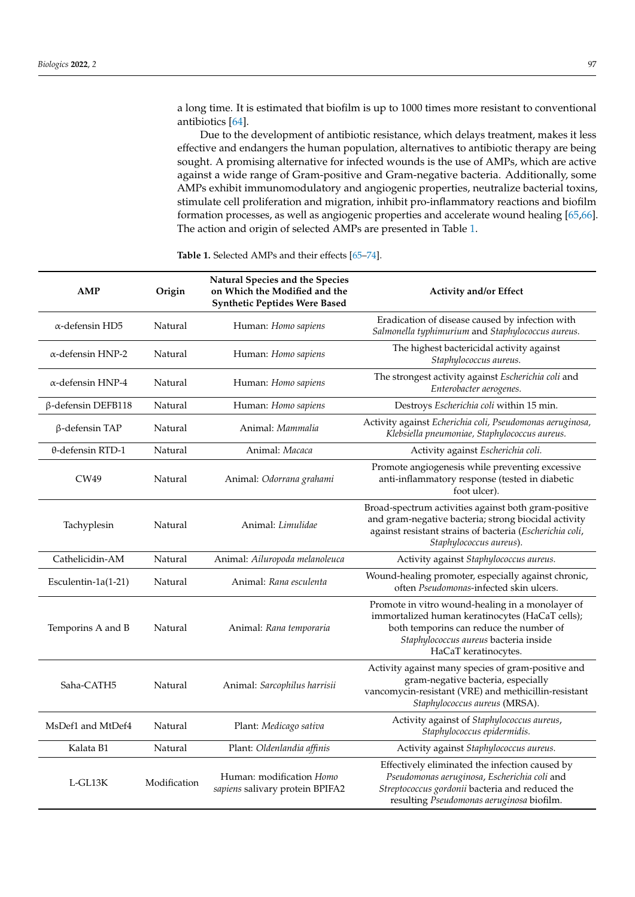a long time. It is estimated that biofilm is up to 1000 times more resistant to conventional antibiotics [\[64\]](#page-13-1).

Due to the development of antibiotic resistance, which delays treatment, makes it less effective and endangers the human population, alternatives to antibiotic therapy are being sought. A promising alternative for infected wounds is the use of AMPs, which are active against a wide range of Gram-positive and Gram-negative bacteria. Additionally, some AMPs exhibit immunomodulatory and angiogenic properties, neutralize bacterial toxins, stimulate cell proliferation and migration, inhibit pro-inflammatory reactions and biofilm formation processes, as well as angiogenic properties and accelerate wound healing [\[65](#page-13-2)[,66\]](#page-13-3). The action and origin of selected AMPs are presented in Table [1.](#page-6-0)

| <b>AMP</b>                | Origin       | Natural Species and the Species<br>on Which the Modified and the<br><b>Synthetic Peptides Were Based</b> | <b>Activity and/or Effect</b>                                                                                                                                                                                   |
|---------------------------|--------------|----------------------------------------------------------------------------------------------------------|-----------------------------------------------------------------------------------------------------------------------------------------------------------------------------------------------------------------|
| $\alpha$ -defensin HD5    | Natural      | Human: Homo sapiens                                                                                      | Eradication of disease caused by infection with<br>Salmonella typhimurium and Staphylococcus aureus.                                                                                                            |
| $\alpha$ -defensin HNP-2  | Natural      | Human: Homo sapiens                                                                                      | The highest bactericidal activity against<br>Staphylococcus aureus.                                                                                                                                             |
| $\alpha$ -defensin HNP-4  | Natural      | Human: Homo sapiens                                                                                      | The strongest activity against Escherichia coli and<br>Enterobacter aerogenes.                                                                                                                                  |
| $\beta$ -defensin DEFB118 | Natural      | Human: Homo sapiens                                                                                      | Destroys Escherichia coli within 15 min.                                                                                                                                                                        |
| $\beta$ -defensin TAP     | Natural      | Animal: Mammalia                                                                                         | Activity against Echerichia coli, Pseudomonas aeruginosa,<br>Klebsiella pneumoniae, Staphylococcus aureus.                                                                                                      |
| $\theta$ -defensin RTD-1  | Natural      | Animal: Macaca                                                                                           | Activity against Escherichia coli.                                                                                                                                                                              |
| CW49                      | Natural      | Animal: Odorrana grahami                                                                                 | Promote angiogenesis while preventing excessive<br>anti-inflammatory response (tested in diabetic<br>foot ulcer).                                                                                               |
| Tachyplesin               | Natural      | Animal: Limulidae                                                                                        | Broad-spectrum activities against both gram-positive<br>and gram-negative bacteria; strong biocidal activity<br>against resistant strains of bacteria (Escherichia coli,<br>Staphylococcus aureus).             |
| Cathelicidin-AM           | Natural      | Animal: Ailuropoda melanoleuca                                                                           | Activity against Staphylococcus aureus.                                                                                                                                                                         |
| Esculentin- $1a(1-21)$    | Natural      | Animal: Rana esculenta                                                                                   | Wound-healing promoter, especially against chronic,<br>often Pseudomonas-infected skin ulcers.                                                                                                                  |
| Temporins A and B         | Natural      | Animal: Rana temporaria                                                                                  | Promote in vitro wound-healing in a monolayer of<br>immortalized human keratinocytes (HaCaT cells);<br>both temporins can reduce the number of<br>Staphylococcus aureus bacteria inside<br>HaCaT keratinocytes. |
| Saha-CATH5                | Natural      | Animal: Sarcophilus harrisii                                                                             | Activity against many species of gram-positive and<br>gram-negative bacteria, especially<br>vancomycin-resistant (VRE) and methicillin-resistant<br>Staphylococcus aureus (MRSA).                               |
| MsDef1 and MtDef4         | Natural      | Plant: Medicago sativa                                                                                   | Activity against of Staphylococcus aureus,<br>Staphylococcus epidermidis.                                                                                                                                       |
| Kalata B1                 | Natural      | Plant: Oldenlandia affinis                                                                               | Activity against Staphylococcus aureus.                                                                                                                                                                         |
| $L$ -GL13K                | Modification | Human: modification Homo<br>sapiens salivary protein BPIFA2                                              | Effectively eliminated the infection caused by<br>Pseudomonas aeruginosa, Escherichia coli and<br>Streptococcus gordonii bacteria and reduced the<br>resulting Pseudomonas aeruginosa biofilm.                  |

**Table 1.** Selected AMPs and their effects [\[65–](#page-13-2)[74\]](#page-13-4).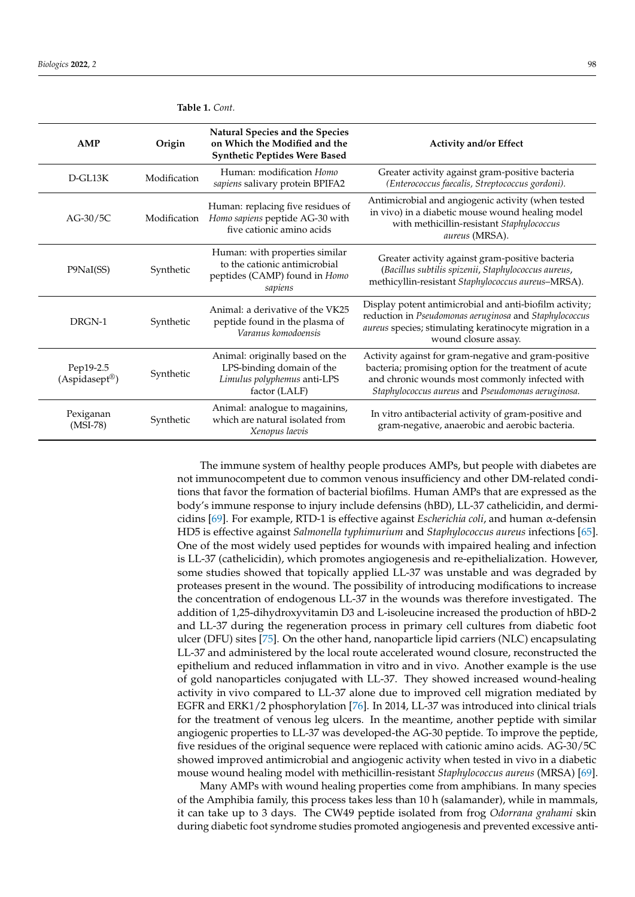| AMP                                     | Origin       | Natural Species and the Species<br>on Which the Modified and the<br><b>Synthetic Peptides Were Based</b>     | <b>Activity and/or Effect</b>                                                                                                                                                                                        |
|-----------------------------------------|--------------|--------------------------------------------------------------------------------------------------------------|----------------------------------------------------------------------------------------------------------------------------------------------------------------------------------------------------------------------|
| $D$ -GL13K                              | Modification | Human: modification Homo<br>sapiens salivary protein BPIFA2                                                  | Greater activity against gram-positive bacteria<br>(Enterococcus faecalis, Streptococcus gordoni).                                                                                                                   |
| $AG-30/5C$                              | Modification | Human: replacing five residues of<br>Homo sapiens peptide AG-30 with<br>five cationic amino acids            | Antimicrobial and angiogenic activity (when tested<br>in vivo) in a diabetic mouse wound healing model<br>with methicillin-resistant Staphylococcus<br>aureus (MRSA).                                                |
| P9NaI(SS)                               | Synthetic    | Human: with properties similar<br>to the cationic antimicrobial<br>peptides (CAMP) found in Homo<br>sapiens  | Greater activity against gram-positive bacteria<br>(Bacillus subtilis spizenii, Staphylococcus aureus,<br>methicyllin-resistant Staphylococcus aureus-MRSA).                                                         |
| DRGN-1                                  | Synthetic    | Animal: a derivative of the VK25<br>peptide found in the plasma of<br>Varanus komodoensis                    | Display potent antimicrobial and anti-biofilm activity;<br>reduction in Pseudomonas aeruginosa and Staphylococcus<br>aureus species; stimulating keratinocyte migration in a<br>wound closure assay.                 |
| Pep19-2.5<br>$(Aspidasept^{\circledR})$ | Synthetic    | Animal: originally based on the<br>LPS-binding domain of the<br>Limulus polyphemus anti-LPS<br>factor (LALF) | Activity against for gram-negative and gram-positive<br>bacteria; promising option for the treatment of acute<br>and chronic wounds most commonly infected with<br>Staphylococcus aureus and Pseudomonas aeruginosa. |
| Pexiganan<br>$(MSI-78)$                 | Synthetic    | Animal: analogue to magainins,<br>which are natural isolated from<br>Xenopus laevis                          | In vitro antibacterial activity of gram-positive and<br>gram-negative, anaerobic and aerobic bacteria.                                                                                                               |

<span id="page-6-0"></span>**Table 1.** *Cont.*

The immune system of healthy people produces AMPs, but people with diabetes are not immunocompetent due to common venous insufficiency and other DM-related conditions that favor the formation of bacterial biofilms. Human AMPs that are expressed as the body's immune response to injury include defensins (hBD), LL-37 cathelicidin, and dermicidins [\[69\]](#page-13-5). For example, RTD-1 is effective against *Escherichia coli*, and human α-defensin HD5 is effective against *Salmonella typhimurium* and *Staphylococcus aureus* infections [\[65\]](#page-13-2). One of the most widely used peptides for wounds with impaired healing and infection is LL-37 (cathelicidin), which promotes angiogenesis and re-epithelialization. However, some studies showed that topically applied LL-37 was unstable and was degraded by proteases present in the wound. The possibility of introducing modifications to increase the concentration of endogenous LL-37 in the wounds was therefore investigated. The addition of 1,25-dihydroxyvitamin D3 and L-isoleucine increased the production of hBD-2 and LL-37 during the regeneration process in primary cell cultures from diabetic foot ulcer (DFU) sites [\[75\]](#page-13-6). On the other hand, nanoparticle lipid carriers (NLC) encapsulating LL-37 and administered by the local route accelerated wound closure, reconstructed the epithelium and reduced inflammation in vitro and in vivo. Another example is the use of gold nanoparticles conjugated with LL-37. They showed increased wound-healing activity in vivo compared to LL-37 alone due to improved cell migration mediated by EGFR and ERK1/2 phosphorylation [\[76\]](#page-13-7). In 2014, LL-37 was introduced into clinical trials for the treatment of venous leg ulcers. In the meantime, another peptide with similar angiogenic properties to LL-37 was developed-the AG-30 peptide. To improve the peptide, five residues of the original sequence were replaced with cationic amino acids. AG-30/5C showed improved antimicrobial and angiogenic activity when tested in vivo in a diabetic mouse wound healing model with methicillin-resistant *Staphylococcus aureus* (MRSA) [\[69\]](#page-13-5).

Many AMPs with wound healing properties come from amphibians. In many species of the Amphibia family, this process takes less than 10 h (salamander), while in mammals, it can take up to 3 days. The CW49 peptide isolated from frog *Odorrana grahami* skin during diabetic foot syndrome studies promoted angiogenesis and prevented excessive anti-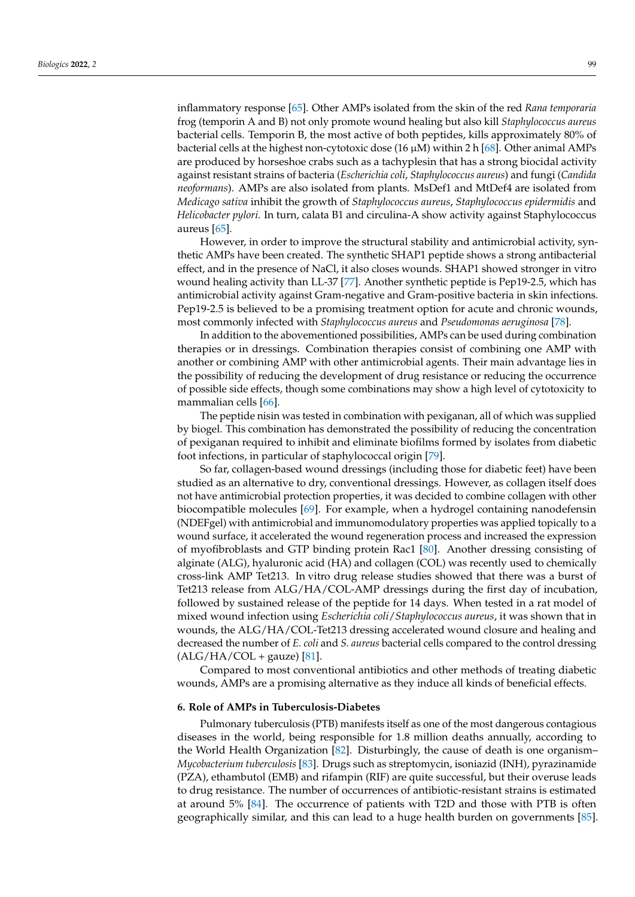inflammatory response [\[65\]](#page-13-2). Other AMPs isolated from the skin of the red *Rana temporaria* frog (temporin A and B) not only promote wound healing but also kill *Staphylococcus aureus* bacterial cells. Temporin B, the most active of both peptides, kills approximately 80% of bacterial cells at the highest non-cytotoxic dose  $(16 \mu M)$  within 2 h  $[68]$ . Other animal AMPs are produced by horseshoe crabs such as a tachyplesin that has a strong biocidal activity against resistant strains of bacteria (*Escherichia coli*, *Staphylococcus aureus*) and fungi (*Candida neoformans*). AMPs are also isolated from plants. MsDef1 and MtDef4 are isolated from *Medicago sativa* inhibit the growth of *Staphylococcus aureus*, *Staphylococcus epidermidis* and *Helicobacter pylori*. In turn, calata B1 and circulina-A show activity against Staphylococcus aureus [\[65\]](#page-13-2).

However, in order to improve the structural stability and antimicrobial activity, synthetic AMPs have been created. The synthetic SHAP1 peptide shows a strong antibacterial effect, and in the presence of NaCl, it also closes wounds. SHAP1 showed stronger in vitro wound healing activity than LL-37 [\[77\]](#page-13-9). Another synthetic peptide is Pep19-2.5, which has antimicrobial activity against Gram-negative and Gram-positive bacteria in skin infections. Pep19-2.5 is believed to be a promising treatment option for acute and chronic wounds, most commonly infected with *Staphylococcus aureus* and *Pseudomonas aeruginosa* [\[78\]](#page-13-10).

In addition to the abovementioned possibilities, AMPs can be used during combination therapies or in dressings. Combination therapies consist of combining one AMP with another or combining AMP with other antimicrobial agents. Their main advantage lies in the possibility of reducing the development of drug resistance or reducing the occurrence of possible side effects, though some combinations may show a high level of cytotoxicity to mammalian cells [\[66\]](#page-13-3).

The peptide nisin was tested in combination with pexiganan, all of which was supplied by biogel. This combination has demonstrated the possibility of reducing the concentration of pexiganan required to inhibit and eliminate biofilms formed by isolates from diabetic foot infections, in particular of staphylococcal origin [\[79\]](#page-13-11).

So far, collagen-based wound dressings (including those for diabetic feet) have been studied as an alternative to dry, conventional dressings. However, as collagen itself does not have antimicrobial protection properties, it was decided to combine collagen with other biocompatible molecules [\[69\]](#page-13-5). For example, when a hydrogel containing nanodefensin (NDEFgel) with antimicrobial and immunomodulatory properties was applied topically to a wound surface, it accelerated the wound regeneration process and increased the expression of myofibroblasts and GTP binding protein Rac1 [\[80\]](#page-13-12). Another dressing consisting of alginate (ALG), hyaluronic acid (HA) and collagen (COL) was recently used to chemically cross-link AMP Tet213. In vitro drug release studies showed that there was a burst of Tet213 release from ALG/HA/COL-AMP dressings during the first day of incubation, followed by sustained release of the peptide for 14 days. When tested in a rat model of mixed wound infection using *Escherichia coli*/*Staphylococcus aureus*, it was shown that in wounds, the ALG/HA/COL-Tet213 dressing accelerated wound closure and healing and decreased the number of *E. coli* and *S. aureus* bacterial cells compared to the control dressing  $(ALG/HA/COL + gauge)$  [\[81\]](#page-13-13).

Compared to most conventional antibiotics and other methods of treating diabetic wounds, AMPs are a promising alternative as they induce all kinds of beneficial effects.

## **6. Role of AMPs in Tuberculosis-Diabetes**

Pulmonary tuberculosis (PTB) manifests itself as one of the most dangerous contagious diseases in the world, being responsible for 1.8 million deaths annually, according to the World Health Organization [\[82\]](#page-13-14). Disturbingly, the cause of death is one organism– *Mycobacterium tuberculosis* [\[83\]](#page-13-15). Drugs such as streptomycin, isoniazid (INH), pyrazinamide (PZA), ethambutol (EMB) and rifampin (RIF) are quite successful, but their overuse leads to drug resistance. The number of occurrences of antibiotic-resistant strains is estimated at around 5% [\[84\]](#page-13-16). The occurrence of patients with T2D and those with PTB is often geographically similar, and this can lead to a huge health burden on governments [\[85\]](#page-13-17).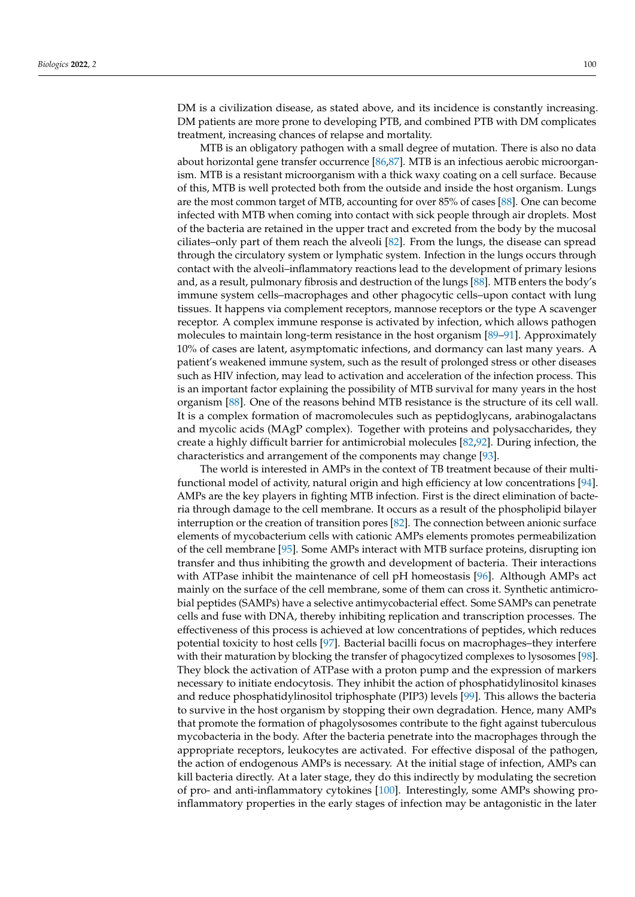DM is a civilization disease, as stated above, and its incidence is constantly increasing. DM patients are more prone to developing PTB, and combined PTB with DM complicates treatment, increasing chances of relapse and mortality.

MTB is an obligatory pathogen with a small degree of mutation. There is also no data about horizontal gene transfer occurrence [\[86,](#page-13-18)[87\]](#page-13-19). MTB is an infectious aerobic microorganism. MTB is a resistant microorganism with a thick waxy coating on a cell surface. Because of this, MTB is well protected both from the outside and inside the host organism. Lungs are the most common target of MTB, accounting for over 85% of cases [\[88\]](#page-13-20). One can become infected with MTB when coming into contact with sick people through air droplets. Most of the bacteria are retained in the upper tract and excreted from the body by the mucosal ciliates–only part of them reach the alveoli [\[82\]](#page-13-14). From the lungs, the disease can spread through the circulatory system or lymphatic system. Infection in the lungs occurs through contact with the alveoli–inflammatory reactions lead to the development of primary lesions and, as a result, pulmonary fibrosis and destruction of the lungs [\[88\]](#page-13-20). MTB enters the body's immune system cells–macrophages and other phagocytic cells–upon contact with lung tissues. It happens via complement receptors, mannose receptors or the type A scavenger receptor. A complex immune response is activated by infection, which allows pathogen molecules to maintain long-term resistance in the host organism [\[89–](#page-13-21)[91\]](#page-14-0). Approximately 10% of cases are latent, asymptomatic infections, and dormancy can last many years. A patient's weakened immune system, such as the result of prolonged stress or other diseases such as HIV infection, may lead to activation and acceleration of the infection process. This is an important factor explaining the possibility of MTB survival for many years in the host organism [\[88\]](#page-13-20). One of the reasons behind MTB resistance is the structure of its cell wall. It is a complex formation of macromolecules such as peptidoglycans, arabinogalactans and mycolic acids (MAgP complex). Together with proteins and polysaccharides, they create a highly difficult barrier for antimicrobial molecules [\[82,](#page-13-14)[92\]](#page-14-1). During infection, the characteristics and arrangement of the components may change [\[93\]](#page-14-2).

The world is interested in AMPs in the context of TB treatment because of their multifunctional model of activity, natural origin and high efficiency at low concentrations [\[94\]](#page-14-3). AMPs are the key players in fighting MTB infection. First is the direct elimination of bacteria through damage to the cell membrane. It occurs as a result of the phospholipid bilayer interruption or the creation of transition pores [\[82\]](#page-13-14). The connection between anionic surface elements of mycobacterium cells with cationic AMPs elements promotes permeabilization of the cell membrane [\[95\]](#page-14-4). Some AMPs interact with MTB surface proteins, disrupting ion transfer and thus inhibiting the growth and development of bacteria. Their interactions with ATPase inhibit the maintenance of cell pH homeostasis [\[96\]](#page-14-5). Although AMPs act mainly on the surface of the cell membrane, some of them can cross it. Synthetic antimicrobial peptides (SAMPs) have a selective antimycobacterial effect. Some SAMPs can penetrate cells and fuse with DNA, thereby inhibiting replication and transcription processes. The effectiveness of this process is achieved at low concentrations of peptides, which reduces potential toxicity to host cells [\[97\]](#page-14-6). Bacterial bacilli focus on macrophages–they interfere with their maturation by blocking the transfer of phagocytized complexes to lysosomes [\[98\]](#page-14-7). They block the activation of ATPase with a proton pump and the expression of markers necessary to initiate endocytosis. They inhibit the action of phosphatidylinositol kinases and reduce phosphatidylinositol triphosphate (PIP3) levels [\[99\]](#page-14-8). This allows the bacteria to survive in the host organism by stopping their own degradation. Hence, many AMPs that promote the formation of phagolysosomes contribute to the fight against tuberculous mycobacteria in the body. After the bacteria penetrate into the macrophages through the appropriate receptors, leukocytes are activated. For effective disposal of the pathogen, the action of endogenous AMPs is necessary. At the initial stage of infection, AMPs can kill bacteria directly. At a later stage, they do this indirectly by modulating the secretion of pro- and anti-inflammatory cytokines [\[100\]](#page-14-9). Interestingly, some AMPs showing proinflammatory properties in the early stages of infection may be antagonistic in the later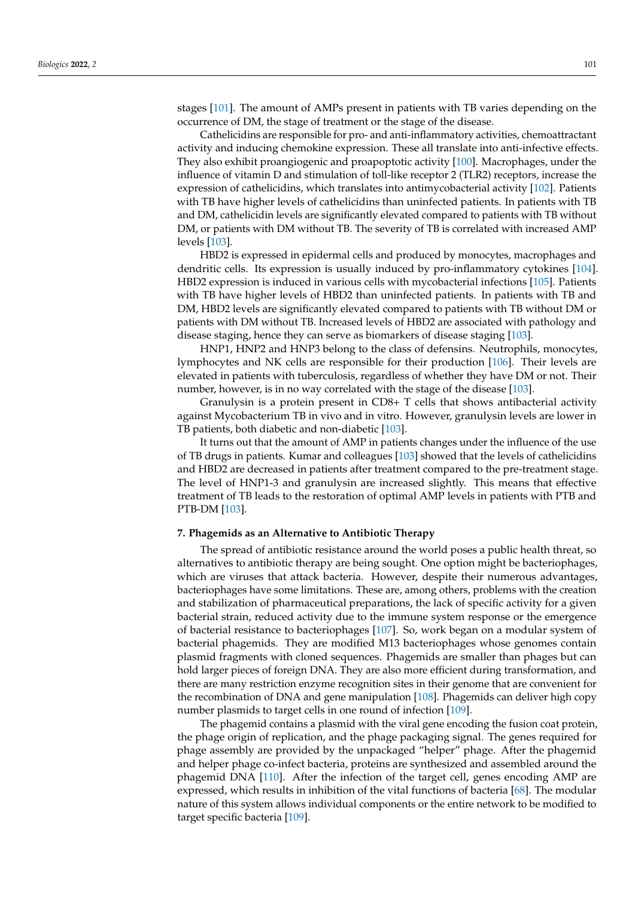stages [\[101\]](#page-14-10). The amount of AMPs present in patients with TB varies depending on the occurrence of DM, the stage of treatment or the stage of the disease.

Cathelicidins are responsible for pro- and anti-inflammatory activities, chemoattractant activity and inducing chemokine expression. These all translate into anti-infective effects. They also exhibit proangiogenic and proapoptotic activity [\[100\]](#page-14-9). Macrophages, under the influence of vitamin D and stimulation of toll-like receptor 2 (TLR2) receptors, increase the expression of cathelicidins, which translates into antimycobacterial activity [\[102\]](#page-14-11). Patients with TB have higher levels of cathelicidins than uninfected patients. In patients with TB and DM, cathelicidin levels are significantly elevated compared to patients with TB without DM, or patients with DM without TB. The severity of TB is correlated with increased AMP levels [\[103\]](#page-14-12).

HBD2 is expressed in epidermal cells and produced by monocytes, macrophages and dendritic cells. Its expression is usually induced by pro-inflammatory cytokines [\[104\]](#page-14-13). HBD2 expression is induced in various cells with mycobacterial infections [\[105\]](#page-14-14). Patients with TB have higher levels of HBD2 than uninfected patients. In patients with TB and DM, HBD2 levels are significantly elevated compared to patients with TB without DM or patients with DM without TB. Increased levels of HBD2 are associated with pathology and disease staging, hence they can serve as biomarkers of disease staging [\[103\]](#page-14-12).

HNP1, HNP2 and HNP3 belong to the class of defensins. Neutrophils, monocytes, lymphocytes and NK cells are responsible for their production [\[106\]](#page-14-15). Their levels are elevated in patients with tuberculosis, regardless of whether they have DM or not. Their number, however, is in no way correlated with the stage of the disease [\[103\]](#page-14-12).

Granulysin is a protein present in CD8+ T cells that shows antibacterial activity against Mycobacterium TB in vivo and in vitro. However, granulysin levels are lower in TB patients, both diabetic and non-diabetic [\[103\]](#page-14-12).

It turns out that the amount of AMP in patients changes under the influence of the use of TB drugs in patients. Kumar and colleagues [\[103\]](#page-14-12) showed that the levels of cathelicidins and HBD2 are decreased in patients after treatment compared to the pre-treatment stage. The level of HNP1-3 and granulysin are increased slightly. This means that effective treatment of TB leads to the restoration of optimal AMP levels in patients with PTB and PTB-DM [\[103\]](#page-14-12).

#### **7. Phagemids as an Alternative to Antibiotic Therapy**

The spread of antibiotic resistance around the world poses a public health threat, so alternatives to antibiotic therapy are being sought. One option might be bacteriophages, which are viruses that attack bacteria. However, despite their numerous advantages, bacteriophages have some limitations. These are, among others, problems with the creation and stabilization of pharmaceutical preparations, the lack of specific activity for a given bacterial strain, reduced activity due to the immune system response or the emergence of bacterial resistance to bacteriophages [\[107\]](#page-14-16). So, work began on a modular system of bacterial phagemids. They are modified M13 bacteriophages whose genomes contain plasmid fragments with cloned sequences. Phagemids are smaller than phages but can hold larger pieces of foreign DNA. They are also more efficient during transformation, and there are many restriction enzyme recognition sites in their genome that are convenient for the recombination of DNA and gene manipulation [\[108\]](#page-14-17). Phagemids can deliver high copy number plasmids to target cells in one round of infection [\[109\]](#page-14-18).

The phagemid contains a plasmid with the viral gene encoding the fusion coat protein, the phage origin of replication, and the phage packaging signal. The genes required for phage assembly are provided by the unpackaged "helper" phage. After the phagemid and helper phage co-infect bacteria, proteins are synthesized and assembled around the phagemid DNA [\[110\]](#page-14-19). After the infection of the target cell, genes encoding AMP are expressed, which results in inhibition of the vital functions of bacteria [\[68\]](#page-13-8). The modular nature of this system allows individual components or the entire network to be modified to target specific bacteria [\[109\]](#page-14-18).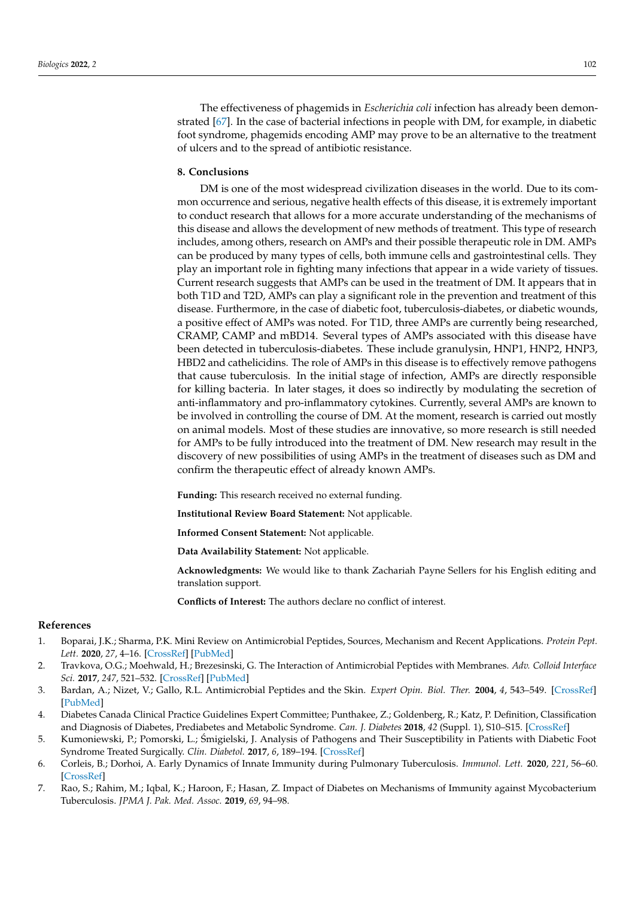The effectiveness of phagemids in *Escherichia coli* infection has already been demonstrated [\[67\]](#page-13-22). In the case of bacterial infections in people with DM, for example, in diabetic foot syndrome, phagemids encoding AMP may prove to be an alternative to the treatment of ulcers and to the spread of antibiotic resistance.

# **8. Conclusions**

DM is one of the most widespread civilization diseases in the world. Due to its common occurrence and serious, negative health effects of this disease, it is extremely important to conduct research that allows for a more accurate understanding of the mechanisms of this disease and allows the development of new methods of treatment. This type of research includes, among others, research on AMPs and their possible therapeutic role in DM. AMPs can be produced by many types of cells, both immune cells and gastrointestinal cells. They play an important role in fighting many infections that appear in a wide variety of tissues. Current research suggests that AMPs can be used in the treatment of DM. It appears that in both T1D and T2D, AMPs can play a significant role in the prevention and treatment of this disease. Furthermore, in the case of diabetic foot, tuberculosis-diabetes, or diabetic wounds, a positive effect of AMPs was noted. For T1D, three AMPs are currently being researched, CRAMP, CAMP and mBD14. Several types of AMPs associated with this disease have been detected in tuberculosis-diabetes. These include granulysin, HNP1, HNP2, HNP3, HBD2 and cathelicidins. The role of AMPs in this disease is to effectively remove pathogens that cause tuberculosis. In the initial stage of infection, AMPs are directly responsible for killing bacteria. In later stages, it does so indirectly by modulating the secretion of anti-inflammatory and pro-inflammatory cytokines. Currently, several AMPs are known to be involved in controlling the course of DM. At the moment, research is carried out mostly on animal models. Most of these studies are innovative, so more research is still needed for AMPs to be fully introduced into the treatment of DM. New research may result in the discovery of new possibilities of using AMPs in the treatment of diseases such as DM and confirm the therapeutic effect of already known AMPs.

**Funding:** This research received no external funding.

**Institutional Review Board Statement:** Not applicable.

**Informed Consent Statement:** Not applicable.

**Data Availability Statement:** Not applicable.

**Acknowledgments:** We would like to thank Zachariah Payne Sellers for his English editing and translation support.

**Conflicts of Interest:** The authors declare no conflict of interest.

#### **References**

- <span id="page-10-0"></span>1. Boparai, J.K.; Sharma, P.K. Mini Review on Antimicrobial Peptides, Sources, Mechanism and Recent Applications. *Protein Pept. Lett.* **2020**, *27*, 4–16. [\[CrossRef\]](http://doi.org/10.2174/0929866526666190822165812) [\[PubMed\]](http://www.ncbi.nlm.nih.gov/pubmed/31438824)
- <span id="page-10-1"></span>2. Travkova, O.G.; Moehwald, H.; Brezesinski, G. The Interaction of Antimicrobial Peptides with Membranes. *Adv. Colloid Interface Sci.* **2017**, *247*, 521–532. [\[CrossRef\]](http://doi.org/10.1016/j.cis.2017.06.001) [\[PubMed\]](http://www.ncbi.nlm.nih.gov/pubmed/28606715)
- <span id="page-10-2"></span>3. Bardan, A.; Nizet, V.; Gallo, R.L. Antimicrobial Peptides and the Skin. *Expert Opin. Biol. Ther.* **2004**, *4*, 543–549. [\[CrossRef\]](http://doi.org/10.1517/14712598.4.4.543) [\[PubMed\]](http://www.ncbi.nlm.nih.gov/pubmed/15102603)
- <span id="page-10-3"></span>4. Diabetes Canada Clinical Practice Guidelines Expert Committee; Punthakee, Z.; Goldenberg, R.; Katz, P. Definition, Classification and Diagnosis of Diabetes, Prediabetes and Metabolic Syndrome. *Can. J. Diabetes* **2018**, *42* (Suppl. 1), S10–S15. [\[CrossRef\]](http://doi.org/10.1016/j.jcjd.2017.10.003)
- <span id="page-10-4"></span>5. Kumoniewski, P.; Pomorski, L.; Smigielski, J. Analysis of Pathogens and Their Susceptibility in Patients with Diabetic Foot ´ Syndrome Treated Surgically. *Clin. Diabetol.* **2017**, *6*, 189–194. [\[CrossRef\]](http://doi.org/10.5603/DK.2017.0031)
- <span id="page-10-5"></span>6. Corleis, B.; Dorhoi, A. Early Dynamics of Innate Immunity during Pulmonary Tuberculosis. *Immunol. Lett.* **2020**, *221*, 56–60. [\[CrossRef\]](http://doi.org/10.1016/j.imlet.2020.02.010)
- <span id="page-10-6"></span>7. Rao, S.; Rahim, M.; Iqbal, K.; Haroon, F.; Hasan, Z. Impact of Diabetes on Mechanisms of Immunity against Mycobacterium Tuberculosis. *JPMA J. Pak. Med. Assoc.* **2019**, *69*, 94–98.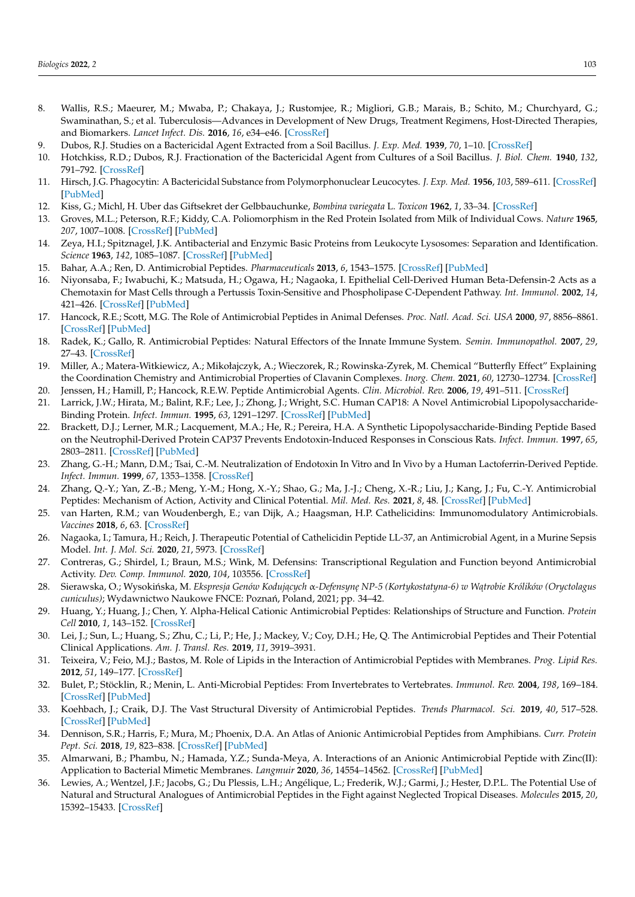- <span id="page-11-0"></span>8. Wallis, R.S.; Maeurer, M.; Mwaba, P.; Chakaya, J.; Rustomjee, R.; Migliori, G.B.; Marais, B.; Schito, M.; Churchyard, G.; Swaminathan, S.; et al. Tuberculosis—Advances in Development of New Drugs, Treatment Regimens, Host-Directed Therapies, and Biomarkers. *Lancet Infect. Dis.* **2016**, *16*, e34–e46. [\[CrossRef\]](http://doi.org/10.1016/S1473-3099(16)00070-0)
- <span id="page-11-1"></span>9. Dubos, R.J. Studies on a Bactericidal Agent Extracted from a Soil Bacillus. *J. Exp. Med.* **1939**, *70*, 1–10. [\[CrossRef\]](http://doi.org/10.1084/jem.70.1.1)
- <span id="page-11-2"></span>10. Hotchkiss, R.D.; Dubos, R.J. Fractionation of the Bactericidal Agent from Cultures of a Soil Bacillus. *J. Biol. Chem.* **1940**, *132*, 791–792. [\[CrossRef\]](http://doi.org/10.1016/S0021-9258(19)56231-7)
- <span id="page-11-3"></span>11. Hirsch, J.G. Phagocytin: A Bactericidal Substance from Polymorphonuclear Leucocytes. *J. Exp. Med.* **1956**, *103*, 589–611. [\[CrossRef\]](http://doi.org/10.1084/jem.103.5.589) [\[PubMed\]](http://www.ncbi.nlm.nih.gov/pubmed/13319580)
- <span id="page-11-4"></span>12. Kiss, G.; Michl, H. Uber das Giftsekret der Gelbbauchunke, *Bombina variegata* L. *Toxicon* **1962**, *1*, 33–34. [\[CrossRef\]](http://doi.org/10.1016/0041-0101(62)90006-5)
- <span id="page-11-5"></span>13. Groves, M.L.; Peterson, R.F.; Kiddy, C.A. Poliomorphism in the Red Protein Isolated from Milk of Individual Cows. *Nature* **1965**, *207*, 1007–1008. [\[CrossRef\]](http://doi.org/10.1038/2071007a0) [\[PubMed\]](http://www.ncbi.nlm.nih.gov/pubmed/5886923)
- <span id="page-11-6"></span>14. Zeya, H.I.; Spitznagel, J.K. Antibacterial and Enzymic Basic Proteins from Leukocyte Lysosomes: Separation and Identification. *Science* **1963**, *142*, 1085–1087. [\[CrossRef\]](http://doi.org/10.1126/science.142.3595.1085) [\[PubMed\]](http://www.ncbi.nlm.nih.gov/pubmed/14068232)
- <span id="page-11-7"></span>15. Bahar, A.A.; Ren, D. Antimicrobial Peptides. *Pharmaceuticals* **2013**, *6*, 1543–1575. [\[CrossRef\]](http://doi.org/10.3390/ph6121543) [\[PubMed\]](http://www.ncbi.nlm.nih.gov/pubmed/24287494)
- <span id="page-11-8"></span>16. Niyonsaba, F.; Iwabuchi, K.; Matsuda, H.; Ogawa, H.; Nagaoka, I. Epithelial Cell-Derived Human Beta-Defensin-2 Acts as a Chemotaxin for Mast Cells through a Pertussis Toxin-Sensitive and Phospholipase C-Dependent Pathway. *Int. Immunol.* **2002**, *14*, 421–426. [\[CrossRef\]](http://doi.org/10.1093/intimm/14.4.421) [\[PubMed\]](http://www.ncbi.nlm.nih.gov/pubmed/11934878)
- <span id="page-11-9"></span>17. Hancock, R.E.; Scott, M.G. The Role of Antimicrobial Peptides in Animal Defenses. *Proc. Natl. Acad. Sci. USA* **2000**, *97*, 8856–8861. [\[CrossRef\]](http://doi.org/10.1073/pnas.97.16.8856) [\[PubMed\]](http://www.ncbi.nlm.nih.gov/pubmed/10922046)
- <span id="page-11-10"></span>18. Radek, K.; Gallo, R. Antimicrobial Peptides: Natural Effectors of the Innate Immune System. *Semin. Immunopathol.* **2007**, *29*, 27–43. [\[CrossRef\]](http://doi.org/10.1007/s00281-007-0064-5)
- <span id="page-11-11"></span>19. Miller, A.; Matera-Witkiewicz, A.; Mikołajczyk, A.; Wieczorek, R.; Rowinska-Zyrek, M. Chemical "Butterfly Effect" Explaining the Coordination Chemistry and Antimicrobial Properties of Clavanin Complexes. *Inorg. Chem.* **2021**, *60*, 12730–12734. [\[CrossRef\]](http://doi.org/10.1021/acs.inorgchem.1c02101)
- <span id="page-11-12"></span>20. Jenssen, H.; Hamill, P.; Hancock, R.E.W. Peptide Antimicrobial Agents. *Clin. Microbiol. Rev.* **2006**, *19*, 491–511. [\[CrossRef\]](http://doi.org/10.1128/CMR.00056-05)
- <span id="page-11-13"></span>21. Larrick, J.W.; Hirata, M.; Balint, R.F.; Lee, J.; Zhong, J.; Wright, S.C. Human CAP18: A Novel Antimicrobial Lipopolysaccharide-Binding Protein. *Infect. Immun.* **1995**, *63*, 1291–1297. [\[CrossRef\]](http://doi.org/10.1128/iai.63.4.1291-1297.1995) [\[PubMed\]](http://www.ncbi.nlm.nih.gov/pubmed/7890387)
- 22. Brackett, D.J.; Lerner, M.R.; Lacquement, M.A.; He, R.; Pereira, H.A. A Synthetic Lipopolysaccharide-Binding Peptide Based on the Neutrophil-Derived Protein CAP37 Prevents Endotoxin-Induced Responses in Conscious Rats. *Infect. Immun.* **1997**, *65*, 2803–2811. [\[CrossRef\]](http://doi.org/10.1128/iai.65.7.2803-2811.1997) [\[PubMed\]](http://www.ncbi.nlm.nih.gov/pubmed/9199453)
- <span id="page-11-14"></span>23. Zhang, G.-H.; Mann, D.M.; Tsai, C.-M. Neutralization of Endotoxin In Vitro and In Vivo by a Human Lactoferrin-Derived Peptide. *Infect. Immun.* **1999**, *67*, 1353–1358. [\[CrossRef\]](http://doi.org/10.1128/IAI.67.3.1353-1358.1999)
- <span id="page-11-15"></span>24. Zhang, Q.-Y.; Yan, Z.-B.; Meng, Y.-M.; Hong, X.-Y.; Shao, G.; Ma, J.-J.; Cheng, X.-R.; Liu, J.; Kang, J.; Fu, C.-Y. Antimicrobial Peptides: Mechanism of Action, Activity and Clinical Potential. *Mil. Med. Res.* **2021**, *8*, 48. [\[CrossRef\]](http://doi.org/10.1186/s40779-021-00343-2) [\[PubMed\]](http://www.ncbi.nlm.nih.gov/pubmed/34496967)
- <span id="page-11-16"></span>25. van Harten, R.M.; van Woudenbergh, E.; van Dijk, A.; Haagsman, H.P. Cathelicidins: Immunomodulatory Antimicrobials. *Vaccines* **2018**, *6*, 63. [\[CrossRef\]](http://doi.org/10.3390/vaccines6030063)
- <span id="page-11-17"></span>26. Nagaoka, I.; Tamura, H.; Reich, J. Therapeutic Potential of Cathelicidin Peptide LL-37, an Antimicrobial Agent, in a Murine Sepsis Model. *Int. J. Mol. Sci.* **2020**, *21*, 5973. [\[CrossRef\]](http://doi.org/10.3390/ijms21175973)
- <span id="page-11-18"></span>27. Contreras, G.; Shirdel, I.; Braun, M.S.; Wink, M. Defensins: Transcriptional Regulation and Function beyond Antimicrobial Activity. *Dev. Comp. Immunol.* **2020**, *104*, 103556. [\[CrossRef\]](http://doi.org/10.1016/j.dci.2019.103556)
- <span id="page-11-19"></span>28. Sierawska, O.; Wysoki ´nska, M. *Ekspresja Genów Koduj ˛acych* α*-Defensyn˛e NP-5 (Kortykostatyna-6) w W ˛atrobie Królików (Oryctolagus* cuniculus); Wydawnictwo Naukowe FNCE: Poznań, Poland, 2021; pp. 34-42.
- <span id="page-11-20"></span>29. Huang, Y.; Huang, J.; Chen, Y. Alpha-Helical Cationic Antimicrobial Peptides: Relationships of Structure and Function. *Protein Cell* **2010**, *1*, 143–152. [\[CrossRef\]](http://doi.org/10.1007/s13238-010-0004-3)
- <span id="page-11-21"></span>30. Lei, J.; Sun, L.; Huang, S.; Zhu, C.; Li, P.; He, J.; Mackey, V.; Coy, D.H.; He, Q. The Antimicrobial Peptides and Their Potential Clinical Applications. *Am. J. Transl. Res.* **2019**, *11*, 3919–3931.
- <span id="page-11-22"></span>31. Teixeira, V.; Feio, M.J.; Bastos, M. Role of Lipids in the Interaction of Antimicrobial Peptides with Membranes. *Prog. Lipid Res.* **2012**, *51*, 149–177. [\[CrossRef\]](http://doi.org/10.1016/j.plipres.2011.12.005)
- <span id="page-11-23"></span>32. Bulet, P.; Stöcklin, R.; Menin, L. Anti-Microbial Peptides: From Invertebrates to Vertebrates. *Immunol. Rev.* **2004**, *198*, 169–184. [\[CrossRef\]](http://doi.org/10.1111/j.0105-2896.2004.0124.x) [\[PubMed\]](http://www.ncbi.nlm.nih.gov/pubmed/15199962)
- <span id="page-11-24"></span>33. Koehbach, J.; Craik, D.J. The Vast Structural Diversity of Antimicrobial Peptides. *Trends Pharmacol. Sci.* **2019**, *40*, 517–528. [\[CrossRef\]](http://doi.org/10.1016/j.tips.2019.04.012) [\[PubMed\]](http://www.ncbi.nlm.nih.gov/pubmed/31230616)
- <span id="page-11-25"></span>34. Dennison, S.R.; Harris, F.; Mura, M.; Phoenix, D.A. An Atlas of Anionic Antimicrobial Peptides from Amphibians. *Curr. Protein Pept. Sci.* **2018**, *19*, 823–838. [\[CrossRef\]](http://doi.org/10.2174/1389203719666180226155035) [\[PubMed\]](http://www.ncbi.nlm.nih.gov/pubmed/29484989)
- <span id="page-11-26"></span>35. Almarwani, B.; Phambu, N.; Hamada, Y.Z.; Sunda-Meya, A. Interactions of an Anionic Antimicrobial Peptide with Zinc(II): Application to Bacterial Mimetic Membranes. *Langmuir* **2020**, *36*, 14554–14562. [\[CrossRef\]](http://doi.org/10.1021/acs.langmuir.0c02306) [\[PubMed\]](http://www.ncbi.nlm.nih.gov/pubmed/33227202)
- <span id="page-11-27"></span>36. Lewies, A.; Wentzel, J.F.; Jacobs, G.; Du Plessis, L.H.; Angélique, L.; Frederik, W.J.; Garmi, J.; Hester, D.P.L. The Potential Use of Natural and Structural Analogues of Antimicrobial Peptides in the Fight against Neglected Tropical Diseases. *Molecules* **2015**, *20*, 15392–15433. [\[CrossRef\]](http://doi.org/10.3390/molecules200815392)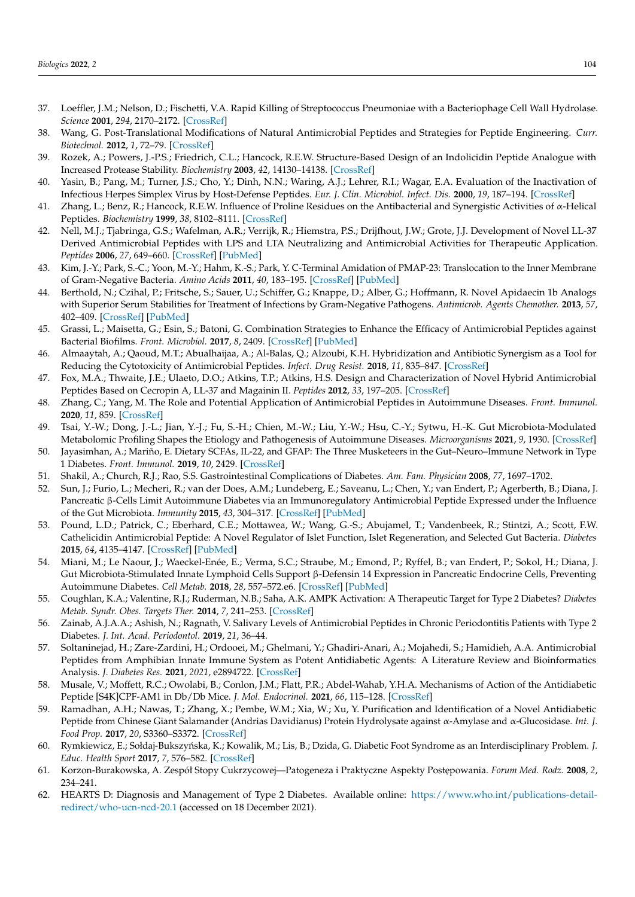- <span id="page-12-0"></span>37. Loeffler, J.M.; Nelson, D.; Fischetti, V.A. Rapid Killing of Streptococcus Pneumoniae with a Bacteriophage Cell Wall Hydrolase. *Science* **2001**, *294*, 2170–2172. [\[CrossRef\]](http://doi.org/10.1126/science.1066869)
- <span id="page-12-1"></span>38. Wang, G. Post-Translational Modifications of Natural Antimicrobial Peptides and Strategies for Peptide Engineering. *Curr. Biotechnol.* **2012**, *1*, 72–79. [\[CrossRef\]](http://doi.org/10.2174/2211550111201010072)
- <span id="page-12-2"></span>39. Rozek, A.; Powers, J.-P.S.; Friedrich, C.L.; Hancock, R.E.W. Structure-Based Design of an Indolicidin Peptide Analogue with Increased Protease Stability. *Biochemistry* **2003**, *42*, 14130–14138. [\[CrossRef\]](http://doi.org/10.1021/bi035643g)
- <span id="page-12-3"></span>40. Yasin, B.; Pang, M.; Turner, J.S.; Cho, Y.; Dinh, N.N.; Waring, A.J.; Lehrer, R.I.; Wagar, E.A. Evaluation of the Inactivation of Infectious Herpes Simplex Virus by Host-Defense Peptides. *Eur. J. Clin. Microbiol. Infect. Dis.* **2000**, *19*, 187–194. [\[CrossRef\]](http://doi.org/10.1007/s100960050457)
- <span id="page-12-4"></span>41. Zhang, L.; Benz, R.; Hancock, R.E.W. Influence of Proline Residues on the Antibacterial and Synergistic Activities of α-Helical Peptides. *Biochemistry* **1999**, *38*, 8102–8111. [\[CrossRef\]](http://doi.org/10.1021/bi9904104)
- <span id="page-12-5"></span>42. Nell, M.J.; Tjabringa, G.S.; Wafelman, A.R.; Verrijk, R.; Hiemstra, P.S.; Drijfhout, J.W.; Grote, J.J. Development of Novel LL-37 Derived Antimicrobial Peptides with LPS and LTA Neutralizing and Antimicrobial Activities for Therapeutic Application. *Peptides* **2006**, *27*, 649–660. [\[CrossRef\]](http://doi.org/10.1016/j.peptides.2005.09.016) [\[PubMed\]](http://www.ncbi.nlm.nih.gov/pubmed/16274847)
- <span id="page-12-6"></span>43. Kim, J.-Y.; Park, S.-C.; Yoon, M.-Y.; Hahm, K.-S.; Park, Y. C-Terminal Amidation of PMAP-23: Translocation to the Inner Membrane of Gram-Negative Bacteria. *Amino Acids* **2011**, *40*, 183–195. [\[CrossRef\]](http://doi.org/10.1007/s00726-010-0632-1) [\[PubMed\]](http://www.ncbi.nlm.nih.gov/pubmed/20512598)
- <span id="page-12-7"></span>44. Berthold, N.; Czihal, P.; Fritsche, S.; Sauer, U.; Schiffer, G.; Knappe, D.; Alber, G.; Hoffmann, R. Novel Apidaecin 1b Analogs with Superior Serum Stabilities for Treatment of Infections by Gram-Negative Pathogens. *Antimicrob. Agents Chemother.* **2013**, *57*, 402–409. [\[CrossRef\]](http://doi.org/10.1128/AAC.01923-12) [\[PubMed\]](http://www.ncbi.nlm.nih.gov/pubmed/23114765)
- <span id="page-12-8"></span>45. Grassi, L.; Maisetta, G.; Esin, S.; Batoni, G. Combination Strategies to Enhance the Efficacy of Antimicrobial Peptides against Bacterial Biofilms. *Front. Microbiol.* **2017**, *8*, 2409. [\[CrossRef\]](http://doi.org/10.3389/fmicb.2017.02409) [\[PubMed\]](http://www.ncbi.nlm.nih.gov/pubmed/29375486)
- <span id="page-12-9"></span>46. Almaaytah, A.; Qaoud, M.T.; Abualhaijaa, A.; Al-Balas, Q.; Alzoubi, K.H. Hybridization and Antibiotic Synergism as a Tool for Reducing the Cytotoxicity of Antimicrobial Peptides. *Infect. Drug Resist.* **2018**, *11*, 835–847. [\[CrossRef\]](http://doi.org/10.2147/IDR.S166236)
- <span id="page-12-10"></span>47. Fox, M.A.; Thwaite, J.E.; Ulaeto, D.O.; Atkins, T.P.; Atkins, H.S. Design and Characterization of Novel Hybrid Antimicrobial Peptides Based on Cecropin A, LL-37 and Magainin II. *Peptides* **2012**, *33*, 197–205. [\[CrossRef\]](http://doi.org/10.1016/j.peptides.2012.01.013)
- <span id="page-12-11"></span>48. Zhang, C.; Yang, M. The Role and Potential Application of Antimicrobial Peptides in Autoimmune Diseases. *Front. Immunol.* **2020**, *11*, 859. [\[CrossRef\]](http://doi.org/10.3389/fimmu.2020.00859)
- <span id="page-12-14"></span>49. Tsai, Y.-W.; Dong, J.-L.; Jian, Y.-J.; Fu, S.-H.; Chien, M.-W.; Liu, Y.-W.; Hsu, C.-Y.; Sytwu, H.-K. Gut Microbiota-Modulated Metabolomic Profiling Shapes the Etiology and Pathogenesis of Autoimmune Diseases. *Microorganisms* **2021**, *9*, 1930. [\[CrossRef\]](http://doi.org/10.3390/microorganisms9091930)
- <span id="page-12-12"></span>50. Jayasimhan, A.; Mariño, E. Dietary SCFAs, IL-22, and GFAP: The Three Musketeers in the Gut–Neuro–Immune Network in Type 1 Diabetes. *Front. Immunol.* **2019**, *10*, 2429. [\[CrossRef\]](http://doi.org/10.3389/fimmu.2019.02429)
- <span id="page-12-13"></span>51. Shakil, A.; Church, R.J.; Rao, S.S. Gastrointestinal Complications of Diabetes. *Am. Fam. Physician* **2008**, *77*, 1697–1702.
- <span id="page-12-15"></span>52. Sun, J.; Furio, L.; Mecheri, R.; van der Does, A.M.; Lundeberg, E.; Saveanu, L.; Chen, Y.; van Endert, P.; Agerberth, B.; Diana, J. Pancreatic β-Cells Limit Autoimmune Diabetes via an Immunoregulatory Antimicrobial Peptide Expressed under the Influence of the Gut Microbiota. *Immunity* **2015**, *43*, 304–317. [\[CrossRef\]](http://doi.org/10.1016/j.immuni.2015.07.013) [\[PubMed\]](http://www.ncbi.nlm.nih.gov/pubmed/26253786)
- <span id="page-12-16"></span>53. Pound, L.D.; Patrick, C.; Eberhard, C.E.; Mottawea, W.; Wang, G.-S.; Abujamel, T.; Vandenbeek, R.; Stintzi, A.; Scott, F.W. Cathelicidin Antimicrobial Peptide: A Novel Regulator of Islet Function, Islet Regeneration, and Selected Gut Bacteria. *Diabetes* **2015**, *64*, 4135–4147. [\[CrossRef\]](http://doi.org/10.2337/db15-0788) [\[PubMed\]](http://www.ncbi.nlm.nih.gov/pubmed/26370175)
- <span id="page-12-17"></span>54. Miani, M.; Le Naour, J.; Waeckel-Enée, E.; Verma, S.C.; Straube, M.; Emond, P.; Ryffel, B.; van Endert, P.; Sokol, H.; Diana, J. Gut Microbiota-Stimulated Innate Lymphoid Cells Support β-Defensin 14 Expression in Pancreatic Endocrine Cells, Preventing Autoimmune Diabetes. *Cell Metab.* **2018**, *28*, 557–572.e6. [\[CrossRef\]](http://doi.org/10.1016/j.cmet.2018.06.012) [\[PubMed\]](http://www.ncbi.nlm.nih.gov/pubmed/30017352)
- <span id="page-12-18"></span>55. Coughlan, K.A.; Valentine, R.J.; Ruderman, N.B.; Saha, A.K. AMPK Activation: A Therapeutic Target for Type 2 Diabetes? *Diabetes Metab. Syndr. Obes. Targets Ther.* **2014**, *7*, 241–253. [\[CrossRef\]](http://doi.org/10.2147/DMSO.S43731)
- <span id="page-12-19"></span>56. Zainab, A.J.A.A.; Ashish, N.; Ragnath, V. Salivary Levels of Antimicrobial Peptides in Chronic Periodontitis Patients with Type 2 Diabetes. *J. Int. Acad. Periodontol.* **2019**, *21*, 36–44.
- <span id="page-12-20"></span>57. Soltaninejad, H.; Zare-Zardini, H.; Ordooei, M.; Ghelmani, Y.; Ghadiri-Anari, A.; Mojahedi, S.; Hamidieh, A.A. Antimicrobial Peptides from Amphibian Innate Immune System as Potent Antidiabetic Agents: A Literature Review and Bioinformatics Analysis. *J. Diabetes Res.* **2021**, *2021*, e2894722. [\[CrossRef\]](http://doi.org/10.1155/2021/2894722)
- <span id="page-12-21"></span>58. Musale, V.; Moffett, R.C.; Owolabi, B.; Conlon, J.M.; Flatt, P.R.; Abdel-Wahab, Y.H.A. Mechanisms of Action of the Antidiabetic Peptide [S4K]CPF-AM1 in Db/Db Mice. *J. Mol. Endocrinol.* **2021**, *66*, 115–128. [\[CrossRef\]](http://doi.org/10.1530/JME-20-0152)
- <span id="page-12-22"></span>59. Ramadhan, A.H.; Nawas, T.; Zhang, X.; Pembe, W.M.; Xia, W.; Xu, Y. Purification and Identification of a Novel Antidiabetic Peptide from Chinese Giant Salamander (Andrias Davidianus) Protein Hydrolysate against α-Amylase and α-Glucosidase. *Int. J. Food Prop.* **2017**, *20*, S3360–S3372. [\[CrossRef\]](http://doi.org/10.1080/10942912.2017.1354885)
- <span id="page-12-23"></span>60. Rymkiewicz, E.; Sołdaj-Bukszyńska, K.; Kowalik, M.; Lis, B.; Dzida, G. Diabetic Foot Syndrome as an Interdisciplinary Problem. *J. Educ. Health Sport* **2017**, *7*, 576–582. [\[CrossRef\]](http://doi.org/10.5281/zenodo.886024)
- <span id="page-12-24"></span>61. Korzon-Burakowska, A. Zespół Stopy Cukrzycowej—Patogeneza i Praktyczne Aspekty Postępowania. *Forum Med. Rodz.* 2008, 2, 234–241.
- <span id="page-12-25"></span>62. HEARTS D: Diagnosis and Management of Type 2 Diabetes. Available online: [https://www.who.int/publications-detail](https://www.who.int/publications-detail-redirect/who-ucn-ncd-20.1)[redirect/who-ucn-ncd-20.1](https://www.who.int/publications-detail-redirect/who-ucn-ncd-20.1) (accessed on 18 December 2021).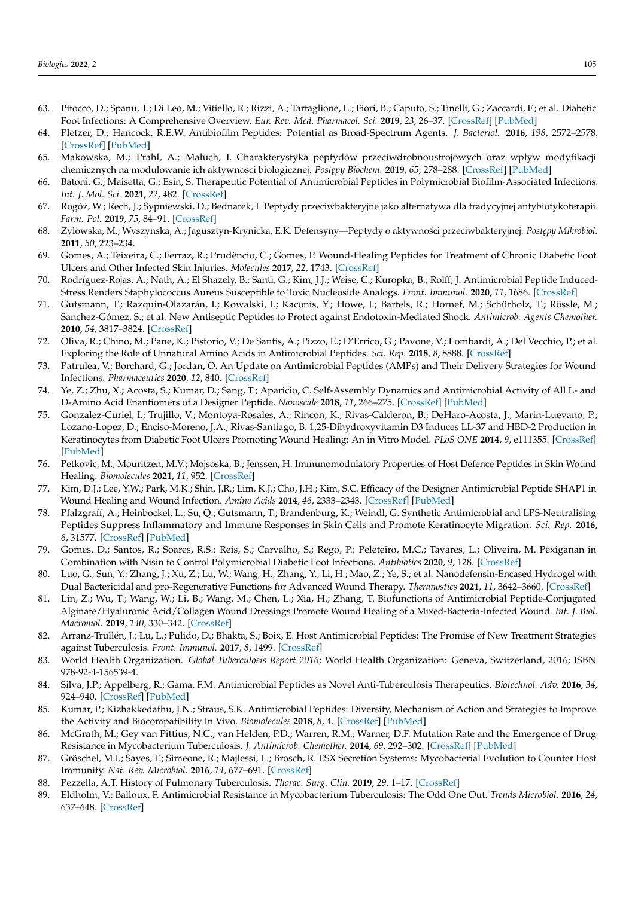- <span id="page-13-0"></span>63. Pitocco, D.; Spanu, T.; Di Leo, M.; Vitiello, R.; Rizzi, A.; Tartaglione, L.; Fiori, B.; Caputo, S.; Tinelli, G.; Zaccardi, F.; et al. Diabetic Foot Infections: A Comprehensive Overview. *Eur. Rev. Med. Pharmacol. Sci.* **2019**, *23*, 26–37. [\[CrossRef\]](http://doi.org/10.26355/eurrev_201904_17471) [\[PubMed\]](http://www.ncbi.nlm.nih.gov/pubmed/30977868)
- <span id="page-13-1"></span>64. Pletzer, D.; Hancock, R.E.W. Antibiofilm Peptides: Potential as Broad-Spectrum Agents. *J. Bacteriol.* **2016**, *198*, 2572–2578. [\[CrossRef\]](http://doi.org/10.1128/JB.00017-16) [\[PubMed\]](http://www.ncbi.nlm.nih.gov/pubmed/27068589)
- <span id="page-13-2"></span>65. Makowska, M.; Prahl, A.; Małuch, I. Charakterystyka peptydów przeciwdrobnoustrojowych oraz wpływ modyfikacji chemicznych na modulowanie ich aktywności biologicznej. Postępy Biochem. 2019, 65, 278–288. [\[CrossRef\]](http://doi.org/10.18388/pb.2019_280) [\[PubMed\]](http://www.ncbi.nlm.nih.gov/pubmed/31945282)
- <span id="page-13-3"></span>66. Batoni, G.; Maisetta, G.; Esin, S. Therapeutic Potential of Antimicrobial Peptides in Polymicrobial Biofilm-Associated Infections. *Int. J. Mol. Sci.* **2021**, *22*, 482. [\[CrossRef\]](http://doi.org/10.3390/ijms22020482)
- <span id="page-13-22"></span>67. Rogóz, W.; Rech, J.; Sypniewski, D.; Bednarek, I. Peptydy przeciwbakteryjne jako alternatywa dla tradycyjnej antybiotykoterapii. ˙ *Farm. Pol.* **2019**, *75*, 84–91. [\[CrossRef\]](http://doi.org/10.32383/farmpol/116297)
- <span id="page-13-8"></span>68. Zylowska, M.; Wyszynska, A.; Jagusztyn-Krynicka, E.K. Defensyny—Peptydy o aktywności przeciwbakteryjnej. Postępy Mikrobiol. **2011**, *50*, 223–234.
- <span id="page-13-5"></span>69. Gomes, A.; Teixeira, C.; Ferraz, R.; Prudêncio, C.; Gomes, P. Wound-Healing Peptides for Treatment of Chronic Diabetic Foot Ulcers and Other Infected Skin Injuries. *Molecules* **2017**, *22*, 1743. [\[CrossRef\]](http://doi.org/10.3390/molecules22101743)
- 70. Rodríguez-Rojas, A.; Nath, A.; El Shazely, B.; Santi, G.; Kim, J.J.; Weise, C.; Kuropka, B.; Rolff, J. Antimicrobial Peptide Induced-Stress Renders Staphylococcus Aureus Susceptible to Toxic Nucleoside Analogs. *Front. Immunol.* **2020**, *11*, 1686. [\[CrossRef\]](http://doi.org/10.3389/fimmu.2020.01686)
- 71. Gutsmann, T.; Razquin-Olazarán, I.; Kowalski, I.; Kaconis, Y.; Howe, J.; Bartels, R.; Hornef, M.; Schürholz, T.; Rössle, M.; Sanchez-Gómez, S.; et al. New Antiseptic Peptides to Protect against Endotoxin-Mediated Shock. *Antimicrob. Agents Chemother.* **2010**, *54*, 3817–3824. [\[CrossRef\]](http://doi.org/10.1128/AAC.00534-10)
- 72. Oliva, R.; Chino, M.; Pane, K.; Pistorio, V.; De Santis, A.; Pizzo, E.; D'Errico, G.; Pavone, V.; Lombardi, A.; Del Vecchio, P.; et al. Exploring the Role of Unnatural Amino Acids in Antimicrobial Peptides. *Sci. Rep.* **2018**, *8*, 8888. [\[CrossRef\]](http://doi.org/10.1038/s41598-018-27231-5)
- 73. Patrulea, V.; Borchard, G.; Jordan, O. An Update on Antimicrobial Peptides (AMPs) and Their Delivery Strategies for Wound Infections. *Pharmaceutics* **2020**, *12*, 840. [\[CrossRef\]](http://doi.org/10.3390/pharmaceutics12090840)
- <span id="page-13-4"></span>74. Ye, Z.; Zhu, X.; Acosta, S.; Kumar, D.; Sang, T.; Aparicio, C. Self-Assembly Dynamics and Antimicrobial Activity of All L- and D-Amino Acid Enantiomers of a Designer Peptide. *Nanoscale* **2018**, *11*, 266–275. [\[CrossRef\]](http://doi.org/10.1039/C8NR07334A) [\[PubMed\]](http://www.ncbi.nlm.nih.gov/pubmed/30534763)
- <span id="page-13-6"></span>75. Gonzalez-Curiel, I.; Trujillo, V.; Montoya-Rosales, A.; Rincon, K.; Rivas-Calderon, B.; DeHaro-Acosta, J.; Marin-Luevano, P.; Lozano-Lopez, D.; Enciso-Moreno, J.A.; Rivas-Santiago, B. 1,25-Dihydroxyvitamin D3 Induces LL-37 and HBD-2 Production in Keratinocytes from Diabetic Foot Ulcers Promoting Wound Healing: An in Vitro Model. *PLoS ONE* **2014**, *9*, e111355. [\[CrossRef\]](http://doi.org/10.1371/journal.pone.0111355) [\[PubMed\]](http://www.ncbi.nlm.nih.gov/pubmed/25337708)
- <span id="page-13-7"></span>76. Petkovic, M.; Mouritzen, M.V.; Mojsoska, B.; Jenssen, H. Immunomodulatory Properties of Host Defence Peptides in Skin Wound Healing. *Biomolecules* **2021**, *11*, 952. [\[CrossRef\]](http://doi.org/10.3390/biom11070952)
- <span id="page-13-9"></span>77. Kim, D.J.; Lee, Y.W.; Park, M.K.; Shin, J.R.; Lim, K.J.; Cho, J.H.; Kim, S.C. Efficacy of the Designer Antimicrobial Peptide SHAP1 in Wound Healing and Wound Infection. *Amino Acids* **2014**, *46*, 2333–2343. [\[CrossRef\]](http://doi.org/10.1007/s00726-014-1804-1) [\[PubMed\]](http://www.ncbi.nlm.nih.gov/pubmed/24952727)
- <span id="page-13-10"></span>78. Pfalzgraff, A.; Heinbockel, L.; Su, Q.; Gutsmann, T.; Brandenburg, K.; Weindl, G. Synthetic Antimicrobial and LPS-Neutralising Peptides Suppress Inflammatory and Immune Responses in Skin Cells and Promote Keratinocyte Migration. *Sci. Rep.* **2016**, *6*, 31577. [\[CrossRef\]](http://doi.org/10.1038/srep31577) [\[PubMed\]](http://www.ncbi.nlm.nih.gov/pubmed/27509895)
- <span id="page-13-11"></span>79. Gomes, D.; Santos, R.; Soares, R.S.; Reis, S.; Carvalho, S.; Rego, P.; Peleteiro, M.C.; Tavares, L.; Oliveira, M. Pexiganan in Combination with Nisin to Control Polymicrobial Diabetic Foot Infections. *Antibiotics* **2020**, *9*, 128. [\[CrossRef\]](http://doi.org/10.3390/antibiotics9030128)
- <span id="page-13-12"></span>80. Luo, G.; Sun, Y.; Zhang, J.; Xu, Z.; Lu, W.; Wang, H.; Zhang, Y.; Li, H.; Mao, Z.; Ye, S.; et al. Nanodefensin-Encased Hydrogel with Dual Bactericidal and pro-Regenerative Functions for Advanced Wound Therapy. *Theranostics* **2021**, *11*, 3642–3660. [\[CrossRef\]](http://doi.org/10.7150/thno.53089)
- <span id="page-13-13"></span>81. Lin, Z.; Wu, T.; Wang, W.; Li, B.; Wang, M.; Chen, L.; Xia, H.; Zhang, T. Biofunctions of Antimicrobial Peptide-Conjugated Alginate/Hyaluronic Acid/Collagen Wound Dressings Promote Wound Healing of a Mixed-Bacteria-Infected Wound. *Int. J. Biol. Macromol.* **2019**, *140*, 330–342. [\[CrossRef\]](http://doi.org/10.1016/j.ijbiomac.2019.08.087)
- <span id="page-13-14"></span>82. Arranz-Trullén, J.; Lu, L.; Pulido, D.; Bhakta, S.; Boix, E. Host Antimicrobial Peptides: The Promise of New Treatment Strategies against Tuberculosis. *Front. Immunol.* **2017**, *8*, 1499. [\[CrossRef\]](http://doi.org/10.3389/fimmu.2017.01499)
- <span id="page-13-15"></span>83. World Health Organization. *Global Tuberculosis Report 2016*; World Health Organization: Geneva, Switzerland, 2016; ISBN 978-92-4-156539-4.
- <span id="page-13-16"></span>84. Silva, J.P.; Appelberg, R.; Gama, F.M. Antimicrobial Peptides as Novel Anti-Tuberculosis Therapeutics. *Biotechnol. Adv.* **2016**, *34*, 924–940. [\[CrossRef\]](http://doi.org/10.1016/j.biotechadv.2016.05.007) [\[PubMed\]](http://www.ncbi.nlm.nih.gov/pubmed/27235189)
- <span id="page-13-17"></span>85. Kumar, P.; Kizhakkedathu, J.N.; Straus, S.K. Antimicrobial Peptides: Diversity, Mechanism of Action and Strategies to Improve the Activity and Biocompatibility In Vivo. *Biomolecules* **2018**, *8*, 4. [\[CrossRef\]](http://doi.org/10.3390/biom8010004) [\[PubMed\]](http://www.ncbi.nlm.nih.gov/pubmed/29351202)
- <span id="page-13-18"></span>86. McGrath, M.; Gey van Pittius, N.C.; van Helden, P.D.; Warren, R.M.; Warner, D.F. Mutation Rate and the Emergence of Drug Resistance in Mycobacterium Tuberculosis. *J. Antimicrob. Chemother.* **2014**, *69*, 292–302. [\[CrossRef\]](http://doi.org/10.1093/jac/dkt364) [\[PubMed\]](http://www.ncbi.nlm.nih.gov/pubmed/24072169)
- <span id="page-13-19"></span>87. Gröschel, M.I.; Sayes, F.; Simeone, R.; Majlessi, L.; Brosch, R. ESX Secretion Systems: Mycobacterial Evolution to Counter Host Immunity. *Nat. Rev. Microbiol.* **2016**, *14*, 677–691. [\[CrossRef\]](http://doi.org/10.1038/nrmicro.2016.131)
- <span id="page-13-20"></span>88. Pezzella, A.T. History of Pulmonary Tuberculosis. *Thorac. Surg. Clin.* **2019**, *29*, 1–17. [\[CrossRef\]](http://doi.org/10.1016/j.thorsurg.2018.09.002)
- <span id="page-13-21"></span>89. Eldholm, V.; Balloux, F. Antimicrobial Resistance in Mycobacterium Tuberculosis: The Odd One Out. *Trends Microbiol.* **2016**, *24*, 637–648. [\[CrossRef\]](http://doi.org/10.1016/j.tim.2016.03.007)